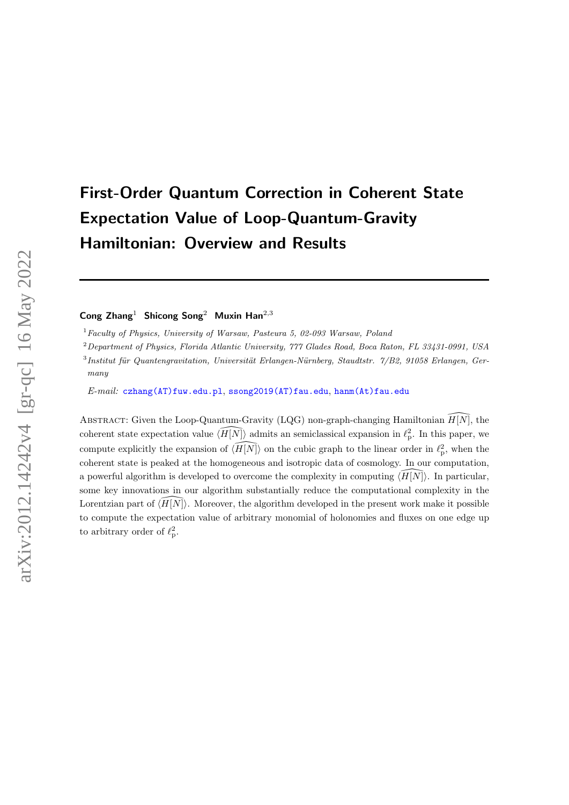# First-Order Quantum Correction in Coherent State Expectation Value of Loop-Quantum-Gravity Hamiltonian: Overview and Results

Cong  $\text{Zhang}^1$  Shicong Song<sup>2</sup> Muxin Han<sup>2,3</sup>

 $1$  Faculty of Physics, University of Warsaw, Pasteura 5, 02-093 Warsaw, Poland

<sup>2</sup>Department of Physics, Florida Atlantic University, 777 Glades Road, Boca Raton, FL 33431-0991, USA  ${}^{3}$ Institut für Quantengravitation, Universität Erlangen-Nürnberg, Staudtstr.  $7/B2$ , 91058 Erlangen, Germany

E-mail: [czhang\(AT\)fuw.edu.pl](mailto:czhang(AT)fuw.edu.pl), [ssong2019\(AT\)fau.edu](mailto:ssong2019(AT)fau.edu), [hanm\(At\)fau.edu](mailto:hanm(At)fau.edu)

ABSTRACT: Given the Loop-Quantum-Gravity (LQG) non-graph-changing Hamiltonian  $\widehat{H}|\overline{N}$ , the coherent state expectation value  $\widehat{H[N]}$  admits an semiclassical expansion in  $\ell_p^2$ . In this paper, we compute explicitly the expansion of  $\widehat{H[N]}$  on the cubic graph to the linear order in  $\ell_p^2$ , when the coherent state is peaked at the homogeneous and isotropic data of cosmology. In our computation, a powerful algorithm is developed to overcome the complexity in computing  $\langle \overline{H[N]} \rangle$ . In particular, some key innovations in our algorithm substantially reduce the computational complexity in the Lorentzian part of  $\langle \overline{H}|\overline{N}\rangle$ . Moreover, the algorithm developed in the present work make it possible to compute the expectation value of arbitrary monomial of holonomies and fluxes on one edge up to arbitrary order of  $\ell_p^2$ .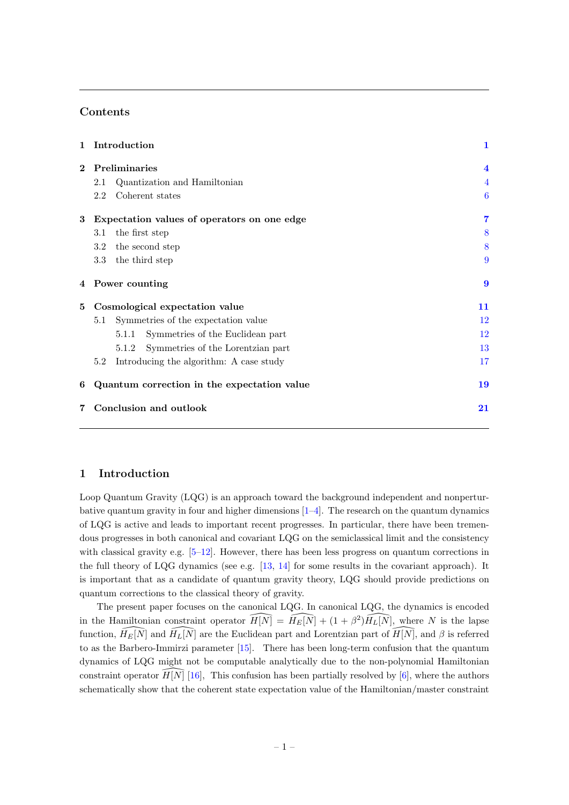# Contents

| Introduction<br>1                                | 1                       |
|--------------------------------------------------|-------------------------|
| Preliminaries<br>$\mathbf{2}$                    | $\overline{\mathbf{4}}$ |
| Quantization and Hamiltonian<br>2.1              | 4                       |
| Coherent states<br>2.2                           | 6                       |
| Expectation values of operators on one edge<br>3 | 7                       |
| the first step<br>3.1                            | 8                       |
| the second step<br>3.2                           | 8                       |
| 3.3<br>the third step                            | 9                       |
| 4 Power counting                                 | $\boldsymbol{9}$        |
| Cosmological expectation value<br>5              | 11                      |
| Symmetries of the expectation value<br>5.1       | 12                      |
| Symmetries of the Euclidean part<br>5.1.1        | 12                      |
| Symmetries of the Lorentzian part<br>5.1.2       | 13                      |
| 5.2<br>Introducing the algorithm: A case study   | 17                      |
| Quantum correction in the expectation value<br>6 | 19                      |
| Conclusion and outlook                           | 21                      |
|                                                  |                         |

# <span id="page-1-0"></span>1 Introduction

Loop Quantum Gravity (LQG) is an approach toward the background independent and nonperturbative quantum gravity in four and higher dimensions  $[1-4]$  $[1-4]$ . The research on the quantum dynamics of LQG is active and leads to important recent progresses. In particular, there have been tremendous progresses in both canonical and covariant LQG on the semiclassical limit and the consistency with classical gravity e.g.  $[5-12]$ . However, there has been less progress on quantum corrections in the full theory of LQG dynamics (see e.g. [\[13,](#page-22-1) [14\]](#page-22-2) for some results in the covariant approach). It is important that as a candidate of quantum gravity theory, LQG should provide predictions on quantum corrections to the classical theory of gravity.

The present paper focuses on the canonical LQG. In canonical LQG, the dynamics is encoded in the Hamiltonian constraint operator  $\widehat{H[N]} = \widehat{H_E[N]} + (1 + \beta^2) \widehat{H_L[N]}$ , where N is the lapse function,  $\widehat{H}_E[\overline{N}]$  and  $\widehat{H}_L[\overline{N}]$  are the Euclidean part and Lorentzian part of  $\widehat{H}[\overline{N}]$ , and  $\beta$  is referred to as the Barbero-Immirzi parameter [\[15\]](#page-22-3). There has been long-term confusion that the quantum dynamics of LQG might not be computable analytically due to the non-polynomial Hamiltonian constraint operator  $\widehat{H}[\vec{N}]$  [\[16\]](#page-22-4), This confusion has been partially resolved by [\[6\]](#page-21-3), where the authors schematically show that the coherent state expectation value of the Hamiltonian/master constraint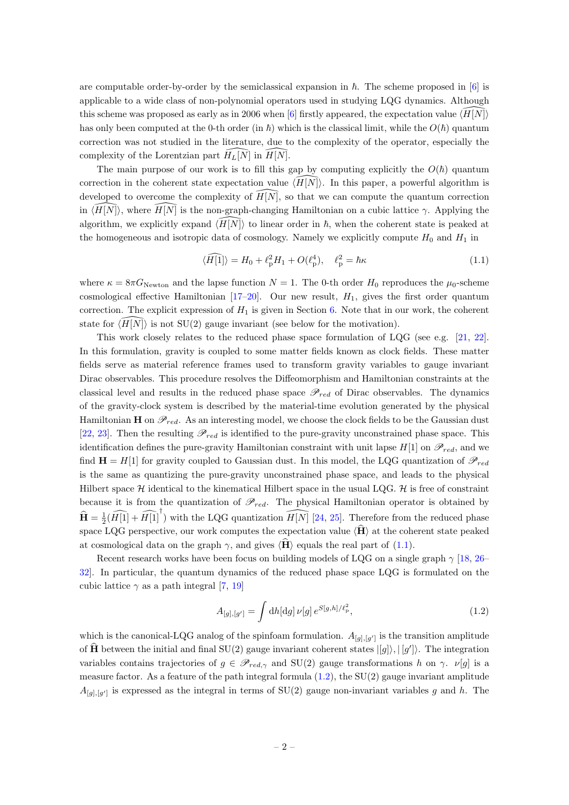are computable order-by-order by the semiclassical expansion in  $\hbar$ . The scheme proposed in [\[6\]](#page-21-3) is applicable to a wide class of non-polynomial operators used in studying LQG dynamics. Although this scheme was proposed as early as in 2006 when [\[6\]](#page-21-3) firstly appeared, the expectation value  $\langle H|N|\rangle$ has only been computed at the 0-th order (in  $\hbar$ ) which is the classical limit, while the  $O(\hbar)$  quantum correction was not studied in the literature, due to the complexity of the operator, especially the complexity of the Lorentzian part  $H_L[N]$  in  $H[N]$ .

The main purpose of our work is to fill this gap by computing explicitly the  $O(h)$  quantum correction in the coherent state expectation value  $\langle \overline{H}|\overline{N}|\rangle$ . In this paper, a powerful algorithm is developed to overcome the complexity of  $\widehat{H}[\widehat{N}]$ , so that we can compute the quantum correction in  $\langle H[N]\rangle$ , where  $H[N]$  is the non-graph-changing Hamiltonian on a cubic lattice  $\gamma$ . Applying the algorithm, we explicitly expand  $\langle H|N\rangle$  to linear order in  $\hbar$ , when the coherent state is peaked at the homogeneous and isotropic data of cosmology. Namely we explicitly compute  $H_0$  and  $H_1$  in

<span id="page-2-0"></span>
$$
\langle \widehat{H[1]} \rangle = H_0 + \ell_p^2 H_1 + O(\ell_p^4), \quad \ell_p^2 = \hbar \kappa \tag{1.1}
$$

where  $\kappa = 8\pi G_{\text{Newton}}$  and the lapse function  $N = 1$ . The 0-th order  $H_0$  reproduces the  $\mu_0$ -scheme cosmological effective Hamiltonian  $[17–20]$  $[17–20]$ . Our new result,  $H_1$ , gives the first order quantum correction. The explicit expression of  $H_1$  is given in Section [6.](#page-18-0) Note that in our work, the coherent state for  $\langle \overline{H}|\overline{N}\rangle$  is not SU(2) gauge invariant (see below for the motivation).

This work closely relates to the reduced phase space formulation of LQG (see e.g. [\[21,](#page-22-7) [22\]](#page-22-8). In this formulation, gravity is coupled to some matter fields known as clock fields. These matter fields serve as material reference frames used to transform gravity variables to gauge invariant Dirac observables. This procedure resolves the Diffeomorphism and Hamiltonian constraints at the classical level and results in the reduced phase space  $\mathscr{P}_{red}$  of Dirac observables. The dynamics of the gravity-clock system is described by the material-time evolution generated by the physical Hamiltonian **H** on  $\mathscr{P}_{red}$ . As an interesting model, we choose the clock fields to be the Gaussian dust [\[22,](#page-22-8) [23\]](#page-22-9). Then the resulting  $\mathcal{P}_{red}$  is identified to the pure-gravity unconstrained phase space. This identification defines the pure-gravity Hamiltonian constraint with unit lapse  $H[1]$  on  $\mathscr{P}_{red}$ , and we find  $H = H[1]$  for gravity coupled to Gaussian dust. In this model, the LQG quantization of  $\mathscr{P}_{red}$ is the same as quantizing the pure-gravity unconstrained phase space, and leads to the physical Hilbert space  $H$  identical to the kinematical Hilbert space in the usual LQG.  $H$  is free of constraint because it is from the quantization of  $\mathscr{P}_{red}$ . The physical Hamiltonian operator is obtained by  $\widehat{\mathbf{H}} = \frac{1}{2}(\widehat{H[1]} + \widehat{H[1]}^{\dagger})$  with the LQG quantization  $\widehat{H[N]}$  [\[24,](#page-22-10) [25\]](#page-22-11). Therefore from the reduced phase space LOG perspective, our work computes the expectation value  $\langle \hat{H} \rangle$  at the coherent state peaked at cosmological data on the graph  $\gamma$ , and gives  $\langle \hat{H} \rangle$  equals the real part of [\(1.1\)](#page-2-0).

Recent research works have been focus on building models of LQG on a single graph  $\gamma$  [\[18,](#page-22-12) [26–](#page-22-13) [32\]](#page-23-0). In particular, the quantum dynamics of the reduced phase space LQG is formulated on the cubic lattice  $\gamma$  as a path integral [\[7,](#page-21-4) [19\]](#page-22-14)

<span id="page-2-1"></span>
$$
A_{[g],[g']} = \int \mathrm{d}h[\mathrm{d}g] \,\nu[g] \, e^{S[g,h]/\ell_{\mathrm{p}}^2},\tag{1.2}
$$

which is the canonical-LQG analog of the spinfoam formulation.  $A_{[g],[g']}$  is the transition amplitude of  $\hat{H}$  between the initial and final SU(2) gauge invariant coherent states  $|g\rangle, |g'\rangle$ . The integration variables contains trajectories of  $g \in \mathscr{P}_{red,\gamma}$  and SU(2) gauge transformations h on  $\gamma$ .  $\nu[g]$  is a measure factor. As a feature of the path integral formula  $(1.2)$ , the SU $(2)$  gauge invariant amplitude  $A_{[g],[g']}$  is expressed as the integral in terms of SU(2) gauge non-invariant variables g and h. The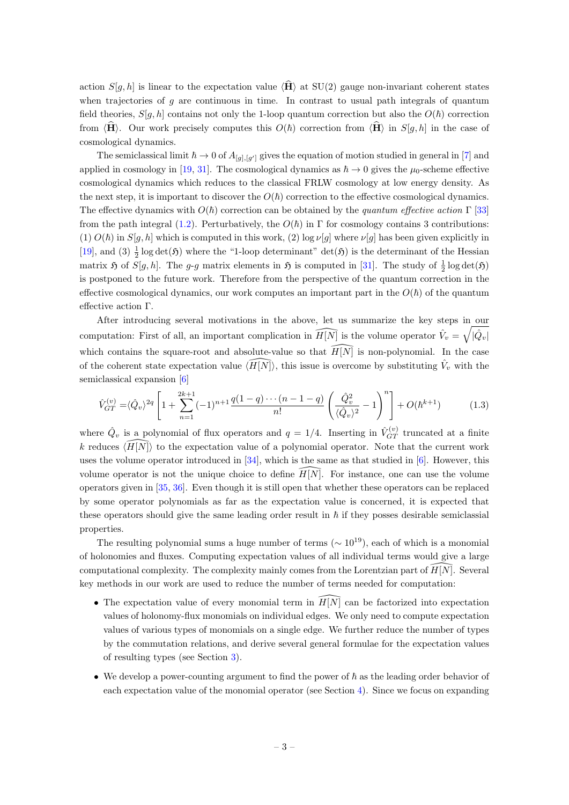action  $S[g, h]$  is linear to the expectation value  $\langle \hat{H} \rangle$  at SU(2) gauge non-invariant coherent states when trajectories of  $q$  are continuous in time. In contrast to usual path integrals of quantum field theories,  $S[q, h]$  contains not only the 1-loop quantum correction but also the  $O(h)$  correction from  $\langle \mathbf{H} \rangle$ . Our work precisely computes this  $O(\hbar)$  correction from  $\langle \mathbf{H} \rangle$  in  $S[g, h]$  in the case of cosmological dynamics.

The semiclassical limit  $\hbar \to 0$  of  $A_{[g],[g']}$  gives the equation of motion studied in general in [\[7\]](#page-21-4) and applied in cosmology in [\[19,](#page-22-14) [31\]](#page-23-1). The cosmological dynamics as  $\hbar \to 0$  gives the  $\mu_0$ -scheme effective cosmological dynamics which reduces to the classical FRLW cosmology at low energy density. As the next step, it is important to discover the  $O(h)$  correction to the effective cosmological dynamics. The effective dynamics with  $O(\hbar)$  correction can be obtained by the quantum effective action Γ [\[33\]](#page-23-2) from the path integral [\(1.2\)](#page-2-1). Perturbatively, the  $O(\hbar)$  in  $\Gamma$  for cosmology contains 3 contributions: (1)  $O(h)$  in  $S[g, h]$  which is computed in this work, (2) log  $\nu[g]$  where  $\nu[g]$  has been given explicitly in [\[19\]](#page-22-14), and (3)  $\frac{1}{2}$  log det(5) where the "1-loop determinant" det(5) is the determinant of the Hessian matrix  $\mathfrak H$  of  $S[g, h]$ . The g-g matrix elements in  $\mathfrak H$  is computed in [\[31\]](#page-23-1). The study of  $\frac{1}{2} \log \det(\mathfrak H)$ is postponed to the future work. Therefore from the perspective of the quantum correction in the effective cosmological dynamics, our work computes an important part in the  $O(\hbar)$  of the quantum effective action Γ.

After introducing several motivations in the above, let us summarize the key steps in our computation: First of all, an important complication in  $\widehat{H[N]}$  is the volume operator  $\hat{V}_v = \sqrt{\hat{Q}_v}$ which contains the square-root and absolute-value so that  $\widehat{H[N]}$  is non-polynomial. In the case of the coherent state expectation value  $\langle \widehat{H[N]} \rangle$ , this issue is overcome by substituting  $\hat{V}_v$  with the semiclassical expansion [\[6\]](#page-21-3)

<span id="page-3-0"></span>
$$
\hat{V}_{GT}^{(v)} = \langle \hat{Q}_v \rangle^{2q} \left[ 1 + \sum_{n=1}^{2k+1} (-1)^{n+1} \frac{q(1-q)\cdots(n-1-q)}{n!} \left( \frac{\hat{Q}_v^2}{\langle \hat{Q}_v \rangle^2} - 1 \right)^n \right] + O(\hbar^{k+1}) \tag{1.3}
$$

where  $\hat{Q}_v$  is a polynomial of flux operators and  $q=1/4$ . Inserting in  $\hat{V}_{GT}^{(v)}$  truncated at a finite k reduces  $\langle \widehat{H}|\widehat{N}\rangle$  to the expectation value of a polynomial operator. Note that the current work uses the volume operator introduced in [\[34\]](#page-23-3), which is the same as that studied in [\[6\]](#page-21-3). However, this volume operator is not the unique choice to define  $H[N]$ . For instance, one can use the volume operators given in [\[35,](#page-23-4) [36\]](#page-23-5). Even though it is still open that whether these operators can be replaced by some operator polynomials as far as the expectation value is concerned, it is expected that these operators should give the same leading order result in  $\hbar$  if they posses desirable semiclassial properties.

The resulting polynomial sums a huge number of terms ( $\sim 10^{19}$ ), each of which is a monomial of holonomies and fluxes. Computing expectation values of all individual terms would give a large computational complexity. The complexity mainly comes from the Lorentzian part of  $H[N]$ . Several key methods in our work are used to reduce the number of terms needed for computation:

- The expectation value of every monomial term in  $\widetilde{H}[\overline{N}]$  can be factorized into expectation values of holonomy-flux monomials on individual edges. We only need to compute expectation values of various types of monomials on a single edge. We further reduce the number of types by the commutation relations, and derive several general formulae for the expectation values of resulting types (see Section [3\)](#page-7-0).
- We develop a power-counting argument to find the power of  $\hbar$  as the leading order behavior of each expectation value of the monomial operator (see Section [4\)](#page-9-0). Since we focus on expanding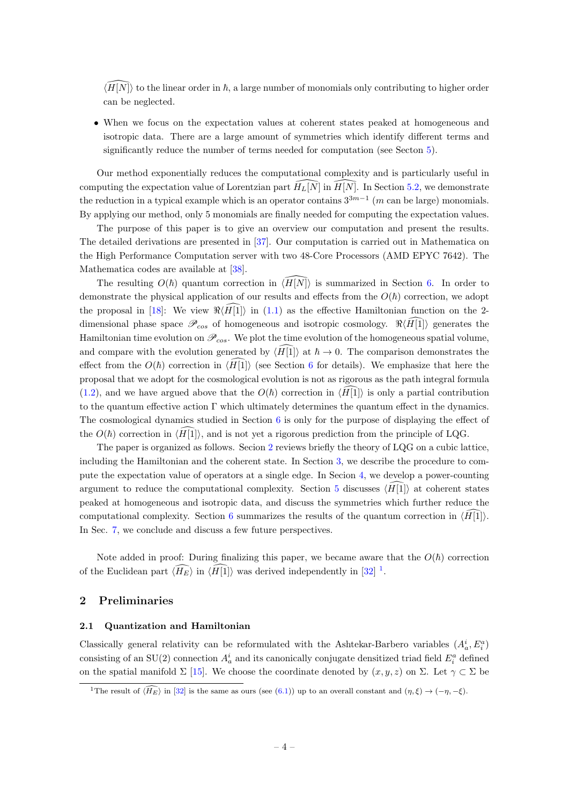$\langle H|N\rangle$  to the linear order in  $\hbar$ , a large number of monomials only contributing to higher order can be neglected.

• When we focus on the expectation values at coherent states peaked at homogeneous and isotropic data. There are a large amount of symmetries which identify different terms and significantly reduce the number of terms needed for computation (see Secton [5\)](#page-11-0).

Our method exponentially reduces the computational complexity and is particularly useful in computing the expectation value of Lorentzian part  $\widehat{H}_L[\widehat{N}]$  in  $\widehat{H}[\widehat{N}]$ . In Section [5.2,](#page-17-0) we demonstrate the reduction in a typical example which is an operator contains  $3^{3m-1}$  (m can be large) monomials. By applying our method, only 5 monomials are finally needed for computing the expectation values.

The purpose of this paper is to give an overview our computation and present the results. The detailed derivations are presented in [\[37\]](#page-23-6). Our computation is carried out in Mathematica on the High Performance Computation server with two 48-Core Processors (AMD EPYC 7642). The Mathematica codes are available at [\[38\]](#page-23-7).

The resulting  $O(\hbar)$  quantum correction in  $\langle \overline{H}|\overline{N}\rangle$  is summarized in Section [6.](#page-18-0) In order to demonstrate the physical application of our results and effects from the  $O(\hbar)$  correction, we adopt the proposal in [\[18\]](#page-22-12): We view  $\Re\langle\widehat{H}|\hat{1}|\rangle$  in [\(1.1\)](#page-2-0) as the effective Hamiltonian function on the 2dimensional phase space  $\mathscr{P}_{cos}$  of homogeneous and isotropic cosmology.  $\Re\langle H[1]\rangle$  generates the Hamiltonian time evolution on  $\mathscr{P}_{cos}$ . We plot the time evolution of the homogeneous spatial volume, and compare with the evolution generated by  $\langle H_1| \rangle$  at  $\hbar \to 0$ . The comparison demonstrates the effect from the  $O(\hbar)$  correction in  $\langle \tilde{H}[\tilde{1}] \rangle$  (see Section [6](#page-18-0) for details). We emphasize that here the proposal that we adopt for the cosmological evolution is not as rigorous as the path integral formula [\(1.2\)](#page-2-1), and we have argued above that the  $O(\hbar)$  correction in  $\langle H_1|$  is only a partial contribution to the quantum effective action  $\Gamma$  which ultimately determines the quantum effect in the dynamics. The cosmological dynamics studied in Section  $6$  is only for the purpose of displaying the effect of the  $O(\hbar)$  correction in  $\langle H[1]\rangle$ , and is not yet a rigorous prediction from the principle of LQG.

The paper is organized as follows. Secion [2](#page-4-0) reviews briefly the theory of LQG on a cubic lattice, including the Hamiltonian and the coherent state. In Section [3,](#page-7-0) we describe the procedure to compute the expectation value of operators at a single edge. In Secion [4,](#page-9-0) we develop a power-counting argument to reduce the computational complexity. Section [5](#page-11-0) discusses  $\langle H[1]\rangle$  at coherent states peaked at homogeneous and isotropic data, and discuss the symmetries which further reduce the computational complexity. Section [6](#page-18-0) summarizes the results of the quantum correction in  $\langle H_1|1\rangle$ . In Sec. [7,](#page-20-0) we conclude and discuss a few future perspectives.

Note added in proof: During finalizing this paper, we became aware that the  $O(\hbar)$  correction of the Euclidean part  $\langle \overline{H_E} \rangle$  in  $\langle \overline{H}[1] \rangle$  $\langle \overline{H}[1] \rangle$  $\langle \overline{H}[1] \rangle$  was derived independently in [\[32\]](#page-23-0)<sup>1</sup>.

# <span id="page-4-0"></span>2 Preliminaries

#### <span id="page-4-1"></span>2.1 Quantization and Hamiltonian

Classically general relativity can be reformulated with the Ashtekar-Barbero variables  $(A_a^i, E_i^a)$ consisting of an SU(2) connection  $A_a^i$  and its canonically conjugate densitized triad field  $E_i^a$  defined on the spatial manifold  $\Sigma$  [\[15\]](#page-22-3). We choose the coordinate denoted by  $(x, y, z)$  on  $\Sigma$ . Let  $\gamma \subset \Sigma$  be

<span id="page-4-2"></span><sup>&</sup>lt;sup>1</sup>The result of  $\langle \widehat{H_E} \rangle$  in [\[32\]](#page-23-0) is the same as ours (see [\(6.1\)](#page-19-0)) up to an overall constant and  $(\eta, \xi) \to (-\eta, -\xi)$ .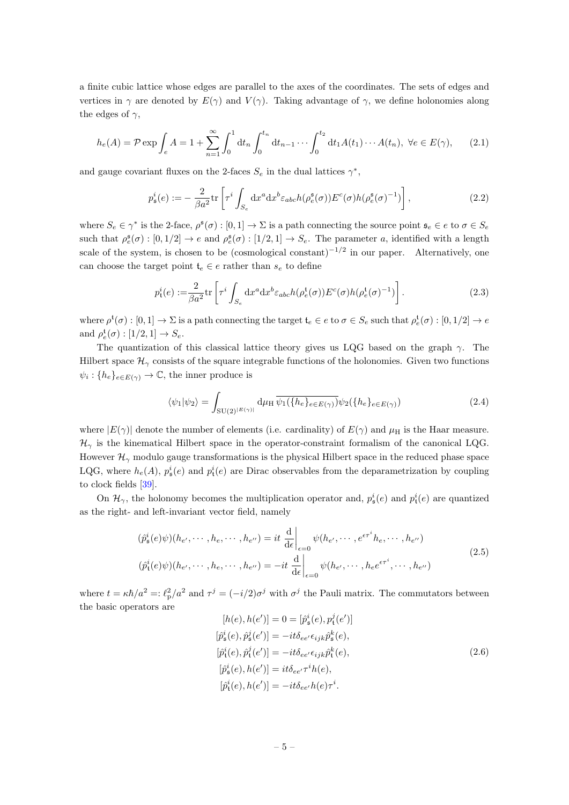a finite cubic lattice whose edges are parallel to the axes of the coordinates. The sets of edges and vertices in  $\gamma$  are denoted by  $E(\gamma)$  and  $V(\gamma)$ . Taking advantage of  $\gamma$ , we define holonomies along the edges of  $\gamma$ ,

$$
h_e(A) = \mathcal{P} \exp \int_e A = 1 + \sum_{n=1}^{\infty} \int_0^1 dt_n \int_0^{t_n} dt_{n-1} \cdots \int_0^{t_2} dt_1 A(t_1) \cdots A(t_n), \ \forall e \in E(\gamma), \tag{2.1}
$$

and gauge covariant fluxes on the 2-faces  $S_e$  in the dual lattices  $\gamma^*$ ,

$$
p_s^i(e) := -\frac{2}{\beta a^2} \text{tr}\left[\tau^i \int_{S_e} dx^a dx^b \varepsilon_{abc} h(\rho_e^{\mathfrak{s}}(\sigma)) E^c(\sigma) h(\rho_e^{\mathfrak{s}}(\sigma)^{-1})\right],\tag{2.2}
$$

where  $S_e \in \gamma^*$  is the 2-face,  $\rho^{\mathfrak{s}}(\sigma) : [0,1] \to \Sigma$  is a path connecting the source point  $\mathfrak{s}_e \in e$  to  $\sigma \in S_e$ such that  $\rho_e^{\mathfrak{s}}(\sigma) : [0, 1/2] \to e$  and  $\rho_e^{\mathfrak{s}}(\sigma) : [1/2, 1] \to S_e$ . The parameter a, identified with a length scale of the system, is chosen to be (cosmological constant)<sup>-1/2</sup> in our paper. Alternatively, one can choose the target point  $\mathfrak{t}_e \in e$  rather than  $s_e$  to define

$$
p_t^i(e) := \frac{2}{\beta a^2} \text{tr}\left[\tau^i \int_{S_e} dx^a dx^b \varepsilon_{abc} h(\rho_e^t(\sigma)) E^c(\sigma) h(\rho_e^t(\sigma)^{-1})\right]. \tag{2.3}
$$

where  $\rho^t(\sigma) : [0,1] \to \Sigma$  is a path connecting the target  $\mathfrak{t}_e \in e$  to  $\sigma \in S_e$  such that  $\rho_e^t(\sigma) : [0,1/2] \to e$ and  $\rho_e^{\mathfrak{t}}(\sigma) : [1/2, 1] \to S_e$ .

The quantization of this classical lattice theory gives us LQG based on the graph  $\gamma$ . The Hilbert space  $\mathcal{H}_{\gamma}$  consists of the square integrable functions of the holonomies. Given two functions  $\psi_i: \{h_e\}_{e \in E(\gamma)} \to \mathbb{C}$ , the inner produce is

$$
\langle \psi_1 | \psi_2 \rangle = \int_{\mathrm{SU}(2)^{|E(\gamma)|}} \mathrm{d}\mu_{\mathrm{H}} \, \overline{\psi_1(\{h_e\}_{e \in E(\gamma)})} \psi_2(\{h_e\}_{e \in E(\gamma)}) \tag{2.4}
$$

where  $|E(\gamma)|$  denote the number of elements (i.e. cardinality) of  $E(\gamma)$  and  $\mu$ <sub>H</sub> is the Haar measure.  $\mathcal{H}_{\gamma}$  is the kinematical Hilbert space in the operator-constraint formalism of the canonical LQG. However  $\mathcal{H}_{\gamma}$  modulo gauge transformations is the physical Hilbert space in the reduced phase space LQG, where  $h_e(A)$ ,  $p_s^i(e)$  and  $p_t^i(e)$  are Dirac observables from the deparametrization by coupling to clock fields [\[39\]](#page-23-8).

On  $\mathcal{H}_{\gamma}$ , the holonomy becomes the multiplication operator and,  $p_{\mathfrak{s}}^i(e)$  and  $p_{\mathfrak{t}}^i(e)$  are quantized as the right- and left-invariant vector field, namely

$$
(\hat{p}_{\mathfrak{s}}^{i}(e)\psi)(h_{e'}, \cdots, h_{e}, \cdots, h_{e''}) = it \frac{\mathrm{d}}{\mathrm{d}\epsilon}\Big|_{\epsilon=0} \psi(h_{e'}, \cdots, e^{\epsilon \tau^{i}} h_{e}, \cdots, h_{e''})
$$
  

$$
(\hat{p}_{\mathfrak{t}}^{i}(e)\psi)(h_{e'}, \cdots, h_{e}, \cdots, h_{e''}) = -it \frac{\mathrm{d}}{\mathrm{d}\epsilon}\Big|_{\epsilon=0} \psi(h_{e'}, \cdots, h_{e}\epsilon^{\epsilon \tau^{i}}, \cdots, h_{e''})
$$
\n(2.5)

where  $t = \kappa \hbar/a^2 =: \ell_{\rm p}^2/a^2$  and  $\tau^j = (-i/2)\sigma^j$  with  $\sigma^j$  the Pauli matrix. The commutators between the basic operators are

<span id="page-5-0"></span>
$$
[h(e), h(e')] = 0 = [\hat{p}_\mathfrak{s}^i(e), p_\mathfrak{t}^j(e')]
$$
  
\n
$$
[\hat{p}_\mathfrak{s}^i(e), \hat{p}_\mathfrak{s}^j(e')] = -it\delta_{ee'} \epsilon_{ijk} \hat{p}_\mathfrak{s}^k(e),
$$
  
\n
$$
[\hat{p}_\mathfrak{t}^i(e), \hat{p}_\mathfrak{t}^j(e')] = -it\delta_{ee'} \epsilon_{ijk} \hat{p}_\mathfrak{t}^k(e),
$$
  
\n
$$
[\hat{p}_\mathfrak{s}^i(e), h(e')] = it\delta_{ee'} \tau^i h(e),
$$
  
\n
$$
[\hat{p}_\mathfrak{t}^i(e), h(e')] = -it\delta_{ee'} h(e) \tau^i.
$$
\n(2.6)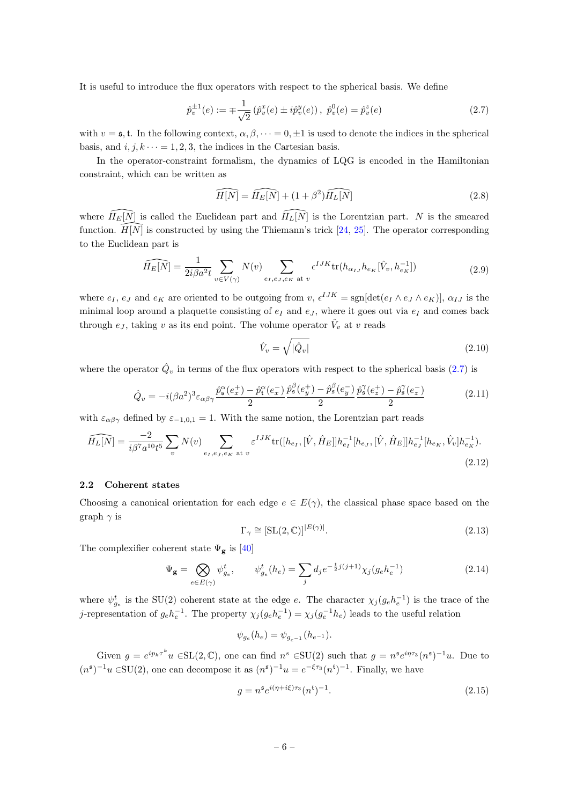It is useful to introduce the flux operators with respect to the spherical basis. We define

<span id="page-6-1"></span>
$$
\hat{p}_v^{\pm 1}(e) := \mp \frac{1}{\sqrt{2}} \left( \hat{p}_v^x(e) \pm i \hat{p}_v^y(e) \right), \ \hat{p}_v^0(e) = \hat{p}_v^z(e) \tag{2.7}
$$

with  $v = \mathfrak{s}$ , t. In the following context,  $\alpha, \beta, \dots = 0, \pm 1$  is used to denote the indices in the spherical basis, and  $i, j, k \cdots = 1, 2, 3$ , the indices in the Cartesian basis.

In the operator-constraint formalism, the dynamics of LQG is encoded in the Hamiltonian constraint, which can be written as

$$
\widehat{H[N]} = \widehat{H_E[N]} + (1 + \beta^2) \widehat{H_L[N]}
$$
\n(2.8)

where  $\widehat{H_E[N]}$  is called the Euclidean part and  $\widehat{H_E[N]}$  is the Lorentzian part. N is the smeared function.  $\widetilde{H}[\overline{N}]$  is constructed by using the Thiemann's trick [\[24,](#page-22-10) [25\]](#page-22-11). The operator corresponding to the Euclidean part is

$$
\widehat{H_E[N]} = \frac{1}{2i\beta a^2 t} \sum_{v \in V(\gamma)} N(v) \sum_{e_I, e_J, e_K \text{ at } v} \epsilon^{IJK} \text{tr}(h_{\alpha_{IJ}} h_{e_K}[\hat{V}_v, h_{e_K}^{-1}])
$$
(2.9)

where  $e_I, e_J$  and  $e_K$  are oriented to be outgoing from  $v, \epsilon^{IJK} = \text{sgn}[\det(e_I \wedge e_J \wedge e_K)], \alpha_{IJ}$  is the minimal loop around a plaquette consisting of  $e_I$  and  $e_J$ , where it goes out via  $e_I$  and comes back through  $e_J$ , taking v as its end point. The volume operator  $\hat{V}_v$  at v reads

$$
\hat{V}_v = \sqrt{|\hat{Q}_v|} \tag{2.10}
$$

where the operator  $\hat{Q}_v$  in terms of the flux operators with respect to the spherical basis [\(2.7\)](#page-6-1) is

$$
\hat{Q}_v = -i(\beta a^2)^3 \varepsilon_{\alpha\beta\gamma} \frac{\hat{p}_\mathfrak{s}^\alpha(e_x^+) - \hat{p}_\mathfrak{t}^\alpha(e_x^-)}{2} \frac{\hat{p}_\mathfrak{s}^\beta(e_y^+) - \hat{p}_\mathfrak{s}^\beta(e_y^-)}{2} \frac{\hat{p}_\mathfrak{s}^\gamma(e_z^+) - \hat{p}_\mathfrak{s}^\gamma(e_z^-)}{2} \tag{2.11}
$$

with  $\varepsilon_{\alpha\beta\gamma}$  defined by  $\varepsilon_{-1,0,1} = 1$ . With the same notion, the Lorentzian part reads

$$
\widehat{H_L[N]} = \frac{-2}{i\beta^7 a^{10} t^5} \sum_v N(v) \sum_{e_I, e_J, e_K \text{ at } v} \varepsilon^{IJK} \text{tr}([h_{e_I}, [\hat{V}, \hat{H}_E]] h_{e_I}^{-1}[h_{e_J}, [\hat{V}, \hat{H}_E]] h_{e_J}^{-1}[h_{e_K}, \hat{V}_v] h_{e_K}^{-1}).
$$
\n(2.12)

#### <span id="page-6-0"></span>2.2 Coherent states

Choosing a canonical orientation for each edge  $e \in E(\gamma)$ , the classical phase space based on the graph  $\gamma$  is

$$
\Gamma_{\gamma} \cong [\text{SL}(2,\mathbb{C})]^{|E(\gamma)|}.\tag{2.13}
$$

The complexifier coherent state  $\Psi_{\mathbf{g}}$  is [\[40\]](#page-23-9)

<span id="page-6-2"></span>
$$
\Psi_{\mathbf{g}} = \bigotimes_{e \in E(\gamma)} \psi_{g_e}^t, \qquad \psi_{g_e}^t(h_e) = \sum_j d_j e^{-\frac{t}{2}j(j+1)} \chi_j(g_e h_e^{-1}) \tag{2.14}
$$

where  $\psi_{g_e}^t$  is the SU(2) coherent state at the edge e. The character  $\chi_j(g_e h_e^{-1})$  is the trace of the j-representation of  $g_e h_e^{-1}$ . The property  $\chi_j(g_e h_e^{-1}) = \chi_j(g_e^{-1} h_e)$  leads to the useful relation

$$
\psi_{g_e}(h_e) = \psi_{g_{e^{-1}}}(h_{e^{-1}}).
$$

Given  $g = e^{ip_k \tau^k} u \in SL(2, \mathbb{C})$ , one can find  $n^s \in SU(2)$  such that  $g = n^s e^{i\eta \tau_3} (n^s)^{-1} u$ . Due to  $(n^{5})^{-1}u \in SU(2)$ , one can decompose it as  $(n^{5})^{-1}u = e^{-\xi\tau_{3}}(n^{t})^{-1}$ . Finally, we have

$$
g = n^{\mathfrak{s}} e^{i(\eta + i\xi)\tau_3} (n^{\mathfrak{t}})^{-1}.
$$
\n(2.15)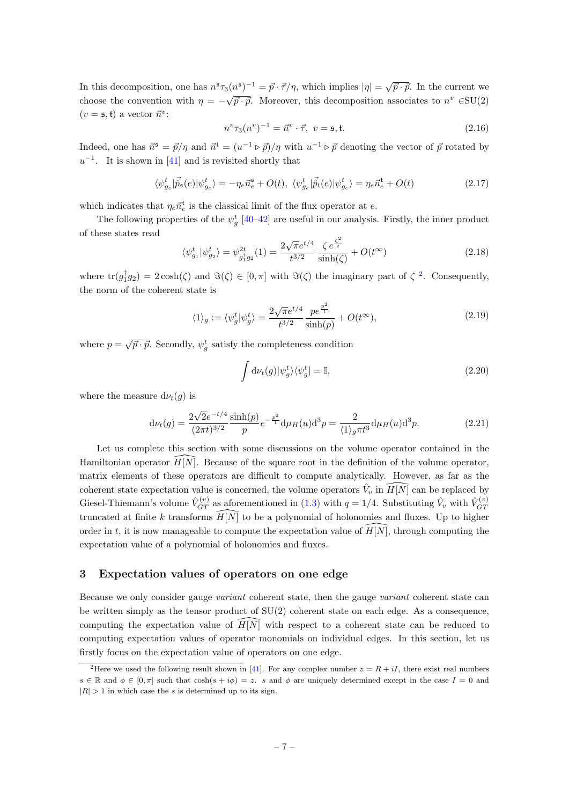In this decomposition, one has  $n^s \tau_3(n^s)^{-1} = \vec{p} \cdot \vec{\tau}/\eta$ , which implies  $|\eta| = \sqrt{\vec{p} \cdot \vec{p}}$ . In the current we choose the convention with  $\eta = -\sqrt{\vec{p} \cdot \vec{p}}$ . Moreover, this decomposition associates to  $n^v \in SU(2)$  $(v = \mathfrak{s}, \mathfrak{t})$  a vector  $\vec{n}^v$ :

$$
n^v \tau_3(n^v)^{-1} = \vec{n}^v \cdot \vec{\tau}, \ v = \mathfrak{s}, \mathfrak{t}.\tag{2.16}
$$

Indeed, one has  $\vec{n}^s = \vec{p}/\eta$  and  $\vec{n}^t = (u^{-1} \triangleright \vec{p})/\eta$  with  $u^{-1} \triangleright \vec{p}$  denoting the vector of  $\vec{p}$  rotated by  $u^{-1}$ . It is shown in [\[41\]](#page-23-10) and is revisited shortly that

$$
\langle \psi_{g_e}^t | \vec{\hat{p}}_{\mathfrak{s}}(e) | \psi_{g_e}^t \rangle = -\eta_e \vec{n}_e^{\mathfrak{s}} + O(t), \ \langle \psi_{g_e}^t | \vec{\hat{p}}_{\mathfrak{t}}(e) | \psi_{g_e}^t \rangle = \eta_e \vec{n}_e^{\mathfrak{t}} + O(t) \tag{2.17}
$$

which indicates that  $\eta_e \vec{n}_e^t$  is the classical limit of the flux operator at e.

The following properties of the  $\psi_g^t$  [\[40](#page-23-9)[–42\]](#page-23-11) are useful in our analysis. Firstly, the inner product of these states read

$$
\langle \psi_{g_1}^t | \psi_{g_2}^t \rangle = \psi_{g_1^{\dagger} g_2}^{2t} (1) = \frac{2\sqrt{\pi}e^{t/4}}{t^{3/2}} \frac{\zeta e^{\frac{\zeta^2}{t}}}{\sinh(\zeta)} + O(t^{\infty})
$$
\n(2.18)

where  $\text{tr}(g_1^{\dagger}g_2) = 2\cosh(\zeta)$  $\text{tr}(g_1^{\dagger}g_2) = 2\cosh(\zeta)$  $\text{tr}(g_1^{\dagger}g_2) = 2\cosh(\zeta)$  and  $\Im(\zeta) \in [0, \pi]$  with  $\Im(\zeta)$  the imaginary part of  $\zeta^2$ . Consequently, the norm of the coherent state is

$$
\langle 1 \rangle_g := \langle \psi_g^t | \psi_g^t \rangle = \frac{2\sqrt{\pi}e^{t/4}}{t^{3/2}} \frac{p e^{\frac{p^2}{t}}}{\sinh(p)} + O(t^{\infty}), \tag{2.19}
$$

where  $p = \sqrt{\vec{p} \cdot \vec{p}}$ . Secondly,  $\psi_g^t$  satisfy the completeness condition

$$
\int d\nu_t(g)|\psi_g^t\rangle\langle\psi_g^t| = \mathbb{I},\tag{2.20}
$$

where the measure  $d\nu_t(g)$  is

$$
d\nu_t(g) = \frac{2\sqrt{2}e^{-t/4}}{(2\pi t)^{3/2}} \frac{\sinh(p)}{p} e^{-\frac{p^2}{t}} d\mu_H(u) d^3 p = \frac{2}{\langle 1 \rangle_g \pi t^3} d\mu_H(u) d^3 p. \tag{2.21}
$$

Let us complete this section with some discussions on the volume operator contained in the Hamiltonian operator  $\widehat{H}[\widehat{N}]$ . Because of the square root in the definition of the volume operator, matrix elements of these operators are difficult to compute analytically. However, as far as the coherent state expectation value is concerned, the volume operators  $\hat{V}_v$  in  $\widehat{H[N]}$  can be replaced by Giesel-Thiemann's volume  $\hat{V}_{GT}^{(v)}$  as aforementioned in [\(1.3\)](#page-3-0) with  $q = 1/4$ . Substituting  $\hat{V}_v$  with  $\hat{V}_{GT}^{(v)}$ GT truncated at finite k transforms  $\widetilde{H}[\tilde{N}]$  to be a polynomial of holonomies and fluxes. Up to higher order in t, it is now manageable to compute the expectation value of  $\widehat{H}[N]$ , through computing the expectation value of a polynomial of holonomies and fluxes.

# <span id="page-7-0"></span>3 Expectation values of operators on one edge

Because we only consider gauge variant coherent state, then the gauge variant coherent state can be written simply as the tensor product of SU(2) coherent state on each edge. As a consequence, computing the expectation value of  $\overline{H}[\overline{N}]$  with respect to a coherent state can be reduced to computing expectation values of operator monomials on individual edges. In this section, let us firstly focus on the expectation value of operators on one edge.

<span id="page-7-1"></span><sup>&</sup>lt;sup>2</sup>Here we used the following result shown in [\[41\]](#page-23-10). For any complex number  $z = R + iI$ , there exist real numbers  $s \in \mathbb{R}$  and  $\phi \in [0, \pi]$  such that  $\cosh(s + i\phi) = z$ . s and  $\phi$  are uniquely determined except in the case  $I = 0$  and  $|R| > 1$  in which case the s is determined up to its sign.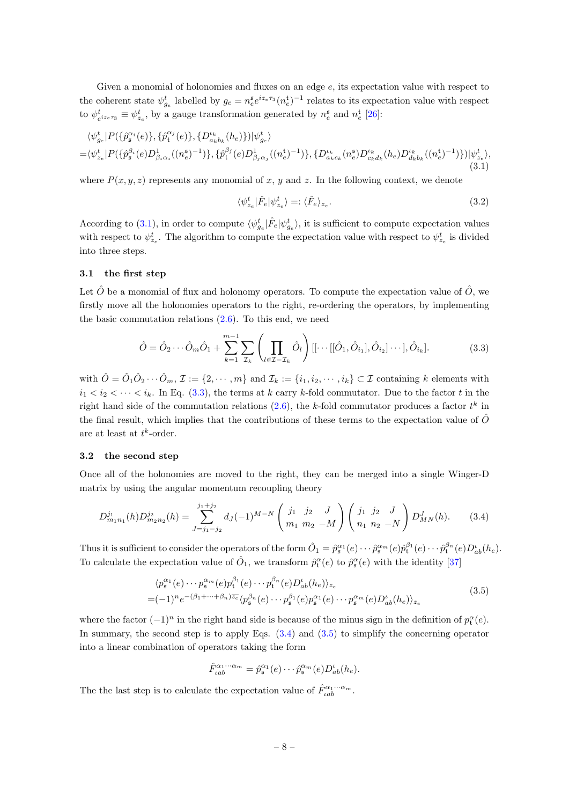Given a monomial of holonomies and fluxes on an edge  $e$ , its expectation value with respect to the coherent state  $\psi_{g_e}^t$  labelled by  $g_e = n_e^{\mathfrak{s}} e^{iz_e \tau_3} (n_e^{\mathfrak{t}})^{-1}$  relates to its expectation value with respect to  $\psi_{e^{iz_e\tau_3}}^t \equiv \psi_{z_e}^t$ , by a gauge transformation generated by  $n_e^s$  and  $n_e^t$  [\[26\]](#page-22-13):

<span id="page-8-3"></span>
$$
\langle \psi_{g_e}^t | P(\{\hat{p}_{\mathfrak{s}}^{\alpha_i}(e)\}, \{\hat{p}_{\mathfrak{t}}^{\alpha_j}(e)\}, \{D_{a_k b_k}^{\iota_k}(h_e)\} | \psi_{g_e}^t \rangle = \langle \psi_{z_e}^t | P(\{\hat{p}_{\mathfrak{s}}^{\beta_i}(e)D_{\beta_i \alpha_i}^1((n_e^{\mathfrak{s}})^{-1})\}, \{\hat{p}_{\mathfrak{t}}^{\beta_j}(e)D_{\beta_j \alpha_j}^1((n_e^{\mathfrak{t}})^{-1})\}, \{D_{a_k c_k}^{\iota_k}(n_e^{\mathfrak{s}})D_{c_k d_k}^{\iota_k}(h_e)D_{d_k b_k}^{\iota_k}((n_e^{\mathfrak{t}})^{-1})\} | \psi_{z_e}^t \rangle, \tag{3.1}
$$

where  $P(x, y, z)$  represents any monomial of x, y and z. In the following context, we denote

$$
\langle \psi_{z_e}^t | \hat{F}_e | \psi_{z_e}^t \rangle =: \langle \hat{F}_e \rangle_{z_e}.
$$
\n(3.2)

According to [\(3.1\)](#page-8-3), in order to compute  $\langle \psi_{g_e}^t | \hat{F}_e | \psi_{g_e}^t \rangle$ , it is sufficient to compute expectation values with respect to  $\psi_{z_e}^t$ . The algorithm to compute the expectation value with respect to  $\psi_{z_e}^t$  is divided into three steps.

#### <span id="page-8-0"></span>3.1 the first step

Let  $\hat{O}$  be a monomial of flux and holonomy operators. To compute the expectation value of  $\hat{O}$ , we firstly move all the holonomies operators to the right, re-ordering the operators, by implementing the basic commutation relations  $(2.6)$ . To this end, we need

<span id="page-8-4"></span>
$$
\hat{O} = \hat{O}_2 \cdots \hat{O}_m \hat{O}_1 + \sum_{k=1}^{m-1} \sum_{\mathcal{I}_k} \left( \prod_{l \in \mathcal{I} - \mathcal{I}_k} \hat{O}_l \right) [[\cdots [[\hat{O}_1, \hat{O}_{i_1}], \hat{O}_{i_2}] \cdots], \hat{O}_{i_k}]. \tag{3.3}
$$

with  $\hat{O} = \hat{O}_1 \hat{O}_2 \cdots \hat{O}_m$ ,  $\mathcal{I} := \{2, \cdots, m\}$  and  $\mathcal{I}_k := \{i_1, i_2, \cdots, i_k\} \subset \mathcal{I}$  containing k elements with  $i_1 < i_2 < \cdots < i_k$ . In Eq. [\(3.3\)](#page-8-4), the terms at k carry k-fold commutator. Due to the factor t in the right hand side of the commutation relations  $(2.6)$ , the k-fold commutator produces a factor  $t^k$  in the final result, which implies that the contributions of these terms to the expectation value of  $\hat{O}$ are at least at  $t^k$ -order.

# <span id="page-8-1"></span>3.2 the second step

Once all of the holonomies are moved to the right, they can be merged into a single Winger-D matrix by using the angular momentum recoupling theory

<span id="page-8-5"></span>
$$
D_{m_1n_1}^{j_1}(h)D_{m_2n_2}^{j_2}(h) = \sum_{J=j_1-j_2}^{j_1+j_2} d_J(-1)^{M-N} \left(\begin{array}{ccc} j_1 & j_2 & J \ m_1 & m_2 & -M \end{array}\right) \left(\begin{array}{ccc} j_1 & j_2 & J \ n_1 & n_2 & -N \end{array}\right) D_{MN}^J(h). \tag{3.4}
$$

Thus it is sufficient to consider the operators of the form  $\hat{O}_1 = \hat{p}_{\mathfrak{s}}^{\alpha_1}(e) \cdots \hat{p}_{\mathfrak{s}}^{\alpha_m}(e) \hat{p}_\mathfrak{t}^{\beta_1}(e) \cdots \hat{p}_\mathfrak{t}^{\beta_n}(e) D_{ab}^{\iota}(h_e)$ . To calculate the expectation value of  $\hat{O}_1$ , we transform  $\hat{p}^{\alpha}_{\mathbf{t}}(e)$  to  $\hat{p}^{\alpha}_{\mathbf{s}}(e)$  with the identity [\[37\]](#page-23-6)

<span id="page-8-6"></span>
$$
\langle p_{\mathfrak{s}}^{\alpha_1}(e) \cdots p_{\mathfrak{s}}^{\alpha_m}(e) p_{\mathfrak{t}}^{\beta_1}(e) \cdots p_{\mathfrak{s}}^{\beta_n}(e) D_{ab}^{\iota}(h_e) \rangle_{z_e}
$$
  
=
$$
(-1)^n e^{-(\beta_1 + \cdots + \beta_n) \overline{z_e}} \langle p_{\mathfrak{s}}^{\beta_n}(e) \cdots p_{\mathfrak{s}}^{\beta_1}(e) p_{\mathfrak{s}}^{\alpha_1}(e) \cdots p_{\mathfrak{s}}^{\alpha_m}(e) D_{ab}^{\iota}(h_e) \rangle_{z_e}
$$
(3.5)

where the factor  $(-1)^n$  in the right hand side is because of the minus sign in the definition of  $p_t^{\alpha}(e)$ . In summary, the second step is to apply Eqs.  $(3.4)$  and  $(3.5)$  to simplify the concerning operator into a linear combination of operators taking the form

$$
\hat{F}_{\iota ab}^{\alpha_1\cdots\alpha_m} = \hat{p}_{\mathfrak{s}}^{\alpha_1}(e)\cdots\hat{p}_{\mathfrak{s}}^{\alpha_m}(e)D_{ab}^{\iota}(h_e).
$$

<span id="page-8-2"></span>The the last step is to calculate the expectation value of  $\hat{F}_{\iota ab}^{\alpha_1 \cdots \alpha_m}$ .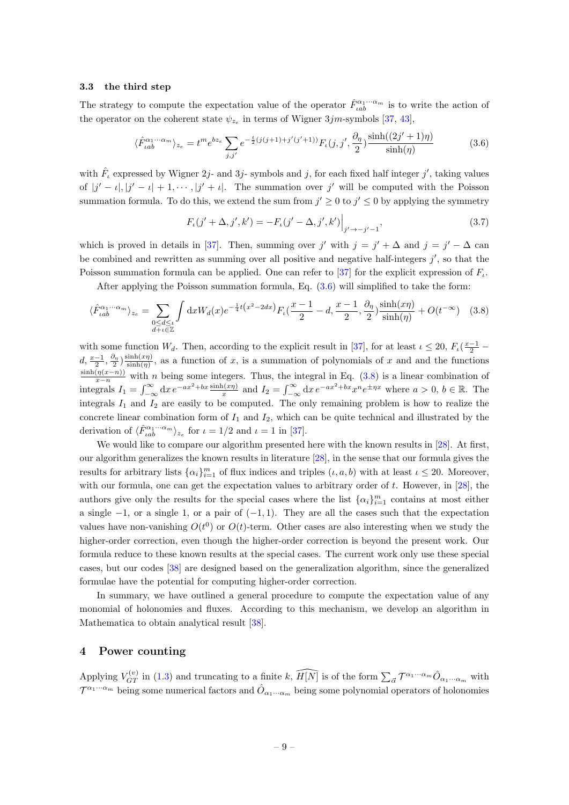#### 3.3 the third step

The strategy to compute the expectation value of the operator  $\hat{F}_{\mu ab}^{\alpha_1 \cdots \alpha_m}$  is to write the action of the operator on the coherent state  $\psi_{z_e}$  in terms of Wigner 3*jm*-symbols [\[37,](#page-23-6) [43\]](#page-23-12),

<span id="page-9-1"></span>
$$
\langle \hat{F}_{\iota ab}^{\alpha_1 \cdots \alpha_m} \rangle_{z_e} = t^m e^{bz_e} \sum_{j,j'} e^{-\frac{t}{2}(j(j+1) + j'(j'+1))} F_{\iota}(j,j',\frac{\partial_{\eta}}{2}) \frac{\sinh((2j'+1)\eta)}{\sinh(\eta)}
$$
(3.6)

with  $\hat{F}_\iota$  expressed by Wigner 2j- and 3j- symbols and j, for each fixed half integer j', taking values of  $|j'-\iota|, |j'-\iota|+1, \dots, |j'+\iota|$ . The summation over j' will be computed with the Poisson summation formula. To do this, we extend the sum from  $j' \geq 0$  to  $j' \leq 0$  by applying the symmetry

$$
F_{\iota}(j' + \Delta, j', k') = -F_{\iota}(j' - \Delta, j', k') \Big|_{j' \to -j'-1},
$$
\n(3.7)

which is proved in details in [\[37\]](#page-23-6). Then, summing over j' with  $j = j' + \Delta$  and  $j = j' - \Delta$  can be combined and rewritten as summing over all positive and negative half-integers  $j'$ , so that the Poisson summation formula can be applied. One can refer to [\[37\]](#page-23-6) for the explicit expression of  $F_{\iota}$ .

After applying the Poisson summation formula, Eq.  $(3.6)$  will simplified to take the form:

<span id="page-9-2"></span>
$$
\langle \hat{F}_{\iota ab}^{\alpha_1 \cdots \alpha_m} \rangle_{z_e} = \sum_{\substack{0 \le d \le t \\ d + \iota \in \mathbb{Z}}} \int dx W_d(x) e^{-\frac{1}{4}t(x^2 - 2dx)} F_{\iota}(\frac{x - 1}{2} - d, \frac{x - 1}{2}, \frac{\partial_{\eta}}{2}) \frac{\sinh(x\eta)}{\sinh(\eta)} + O(t^{-\infty}) \quad (3.8)
$$

with some function  $W_d$ . Then, according to the explicit result in [\[37\]](#page-23-6), for at least  $\iota \leq 20$ ,  $F_{\iota}(\frac{x-1}{2}$  $d, \frac{x-1}{2}, \frac{\partial_{\eta}}{2}) \frac{\sinh(x\eta)}{\sinh(\eta)}$  $\frac{\sinh(x\eta)}{\sinh(\eta)}$ , as a function of x, is a summation of polynomials of x and and the functions  $\frac{\sinh(\eta(x-n))}{x-n}$  with n being some integers. Thus, the integral in Eq. [\(3.8\)](#page-9-2) is a linear combination of integrals  $I_1 = \int_{-\infty}^{\infty} dx e^{-ax^2 + bx} \frac{\sinh(x\eta)}{x}$  and  $I_2 = \int_{-\infty}^{\infty} dx e^{-ax^2 + bx} x^n e^{\pm \eta x}$  where  $a > 0, b \in \mathbb{R}$ . The integrals  $I_1$  and  $I_2$  are easily to be computed. The only remaining problem is how to realize the concrete linear combination form of  $I_1$  and  $I_2$ , which can be quite technical and illustrated by the derivation of  $\langle \hat{F}_{\iota ab}^{\alpha_1\cdots\alpha_m} \rangle_{z_e}$  for  $\iota = 1/2$  and  $\iota = 1$  in [\[37\]](#page-23-6).

We would like to compare our algorithm presented here with the known results in [\[28\]](#page-22-15). At first, our algorithm generalizes the known results in literature [\[28\]](#page-22-15), in the sense that our formula gives the results for arbitrary lists  $\{\alpha_i\}_{i=1}^m$  of flux indices and triples  $(\iota, a, b)$  with at least  $\iota \leq 20$ . Moreover, with our formula, one can get the expectation values to arbitrary order of  $t$ . However, in [\[28\]](#page-22-15), the authors give only the results for the special cases where the list  $\{\alpha_i\}_{i=1}^m$  contains at most either a single  $-1$ , or a single 1, or a pair of  $(-1, 1)$ . They are all the cases such that the expectation values have non-vanishing  $O(t^0)$  or  $O(t)$ -term. Other cases are also interesting when we study the higher-order correction, even though the higher-order correction is beyond the present work. Our formula reduce to these known results at the special cases. The current work only use these special cases, but our codes [\[38\]](#page-23-7) are designed based on the generalization algorithm, since the generalized formulae have the potential for computing higher-order correction.

In summary, we have outlined a general procedure to compute the expectation value of any monomial of holonomies and fluxes. According to this mechanism, we develop an algorithm in Mathematica to obtain analytical result [\[38\]](#page-23-7).

#### <span id="page-9-0"></span>4 Power counting

Applying  $V_{GT}^{(v)}$  in [\(1.3\)](#page-3-0) and truncating to a finite  $k$ ,  $\widehat{H[N]}$  is of the form  $\sum_{\vec{\alpha}} \mathcal{T}^{\alpha_1 \cdots \alpha_m} \hat{O}_{\alpha_1 \cdots \alpha_m}$  with  $\mathcal{T}^{\alpha_1\cdot\cdot\cdot\alpha_m}$  being some numerical factors and  $\hat{O}_{\alpha_1\cdot\cdot\cdot\alpha_m}$  being some polynomial operators of holonomies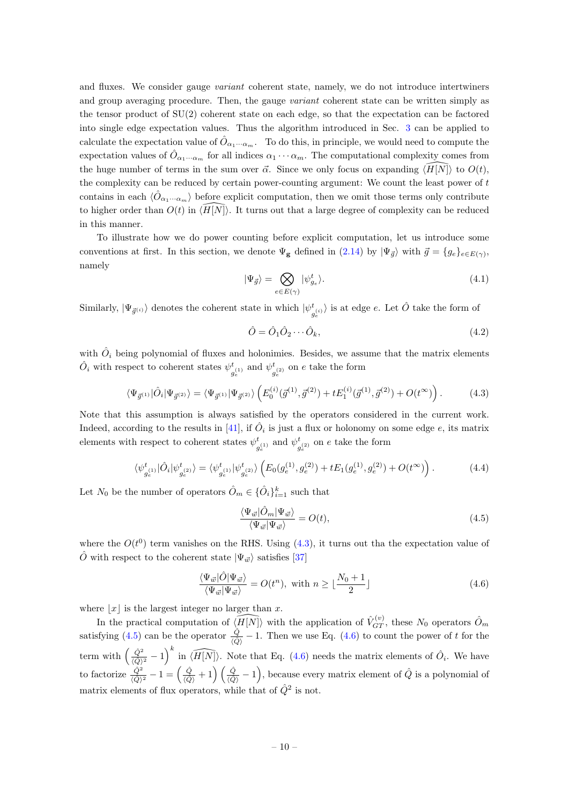and fluxes. We consider gauge *variant* coherent state, namely, we do not introduce intertwiners and group averaging procedure. Then, the gauge *variant* coherent state can be written simply as the tensor product of SU(2) coherent state on each edge, so that the expectation can be factored into single edge expectation values. Thus the algorithm introduced in Sec. [3](#page-7-0) can be applied to calculate the expectation value of  $\hat{O}_{\alpha_1\cdots\alpha_m}$ . To do this, in principle, we would need to compute the expectation values of  $\hat{O}_{\alpha_1\cdots\alpha_m}$  for all indices  $\alpha_1\cdots\alpha_m$ . The computational complexity comes from the huge number of terms in the sum over  $\vec{\alpha}$ . Since we only focus on expanding  $\langle H|N\rangle$  to  $O(t)$ , the complexity can be reduced by certain power-counting argument: We count the least power of  $t$ contains in each  $\langle \hat{O}_{\alpha_1\cdots\alpha_m} \rangle$  before explicit computation, then we omit those terms only contribute to higher order than  $O(t)$  in  $\langle \overline{H}[N]\rangle$ . It turns out that a large degree of complexity can be reduced in this manner.

To illustrate how we do power counting before explicit computation, let us introduce some conventions at first. In this section, we denote  $\Psi_{\mathbf{g}}$  defined in  $(2.14)$  by  $|\Psi_{\vec{g}}\rangle$  with  $\vec{g} = \{g_e\}_{e \in E(\gamma)}$ , namely

$$
|\Psi_{\vec{g}}\rangle = \bigotimes_{e \in E(\gamma)} |\psi_{g_e}^t\rangle. \tag{4.1}
$$

Similarly,  $|\Psi_{\vec{g}^{(i)}}\rangle$  denotes the coherent state in which  $|\psi_{\vec{g}^{(i)}}\rangle$  $\langle \frac{e^{i\theta}}{g^{(i)}_{e}} \rangle$  is at edge  $e$ . Let  $\hat{O}$  take the form of

$$
\hat{O} = \hat{O}_1 \hat{O}_2 \cdots \hat{O}_k,\tag{4.2}
$$

with  $\hat{O}_i$  being polynomial of fluxes and holonimies. Besides, we assume that the matrix elements  $\hat{O}_i$  with respect to coherent states  $\psi^t$  $y_e^{(1)}$  and  $\psi_g^t$  $g_e^{(2)}$  on e take the form

<span id="page-10-0"></span>
$$
\langle \Psi_{\vec{g}^{(1)}} | \hat{O}_i | \Psi_{\vec{g}^{(2)}} \rangle = \langle \Psi_{\vec{g}^{(1)}} | \Psi_{\vec{g}^{(2)}} \rangle \left( E_0^{(i)}(\vec{g}^{(1)}, \vec{g}^{(2)}) + t E_1^{(i)}(\vec{g}^{(1)}, \vec{g}^{(2)}) + O(t^{\infty}) \right). \tag{4.3}
$$

Note that this assumption is always satisfied by the operators considered in the current work. Indeed, according to the results in [\[41\]](#page-23-10), if  $\hat{O}_i$  is just a flux or holonomy on some edge e, its matrix elements with respect to coherent states  $\psi^t$  $\frac{t}{g_e^{(1)}}$  and  $\psi_g^t$  $g_e^{t_{(2)}}$  on e take the form

$$
\langle \psi_{g_e^{(1)}}^t | \hat{O}_i | \psi_{g_e^{(2)}}^t \rangle = \langle \psi_{g_e^{(1)}}^t | \psi_{g_e^{(2)}}^t \rangle \left( E_0(g_e^{(1)}, g_e^{(2)}) + t E_1(g_e^{(1)}, g_e^{(2)}) + O(t^{\infty}) \right). \tag{4.4}
$$

Let  $N_0$  be the number of operators  $\hat{O}_m \in \{\hat{O}_i\}_{i=1}^k$  such that

<span id="page-10-1"></span>
$$
\frac{\langle \Psi_{\vec{w}} | \hat{O}_m | \Psi_{\vec{w}} \rangle}{\langle \Psi_{\vec{w}} | \Psi_{\vec{w}} \rangle} = O(t),\tag{4.5}
$$

where the  $O(t^0)$  term vanishes on the RHS. Using  $(4.3)$ , it turns out tha the expectation value of  $\hat{O}$  with respect to the coherent state  $|\Psi_{\vec{w}}\rangle$  satisfies [\[37\]](#page-23-6)

<span id="page-10-2"></span>
$$
\frac{\langle \Psi_{\vec{w}} | \hat{O} | \Psi_{\vec{w}} \rangle}{\langle \Psi_{\vec{w}} | \Psi_{\vec{w}} \rangle} = O(t^n), \text{ with } n \ge \lfloor \frac{N_0 + 1}{2} \rfloor \tag{4.6}
$$

where  $|x|$  is the largest integer no larger than x.

In the practical computation of  $\widehat{H[N]}$  with the application of  $\widehat{V}_{GT}^{(v)}$ , these  $N_0$  operators  $\widehat{O}_m$ satisfying [\(4.5\)](#page-10-1) can be the operator  $\frac{\hat{Q}}{\langle \hat{Q} \rangle} - 1$ . Then we use Eq. [\(4.6\)](#page-10-2) to count the power of t for the term with  $\left(\frac{\hat{Q}^2}{\hat{Q}^2}\right)$  $\frac{\hat{Q}^2}{\langle \hat{Q}\rangle^2} - 1$  in  $\widehat{\langle H[N]\rangle}$ . Note that Eq. [\(4.6\)](#page-10-2) needs the matrix elements of  $\hat{O}_i$ . We have to factorize  $\frac{\hat{Q}^2}{\langle \hat{Q} \rangle^2} - 1 = \left(\frac{\hat{Q}}{\langle \hat{Q} \rangle} \right)$  $\frac{\hat{Q}}{\langle \hat{Q} \rangle} + 1$   $\left(\frac{\hat{Q}}{\langle \hat{Q} \rangle} - 1\right)$ , because every matrix element of  $\hat{Q}$  is a polynomial of matrix elements of flux operators, while that of  $\hat{Q}^2$  is not.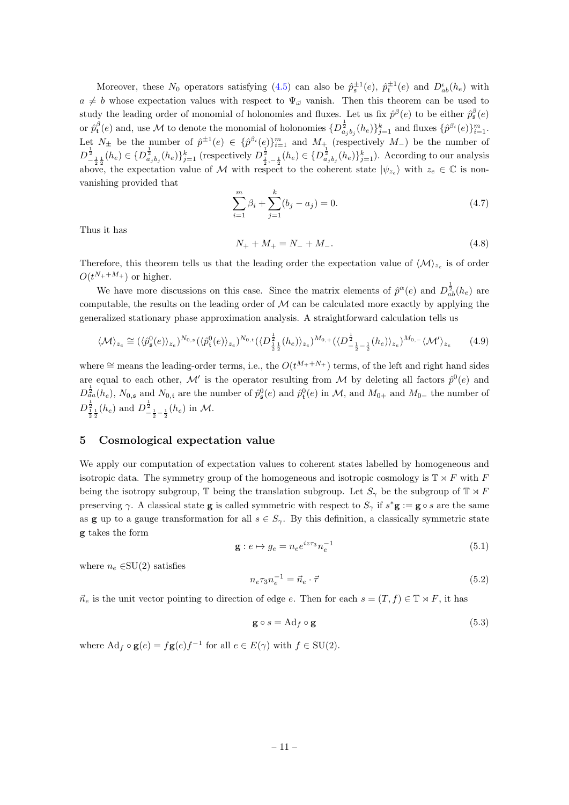Moreover, these  $N_0$  operators satisfying [\(4.5\)](#page-10-1) can also be  $\hat{p}_\mathfrak{s}^{\pm 1}(e)$ ,  $\hat{p}_\mathfrak{t}^{\pm 1}(e)$  and  $D_{ab}^{\iota}(h_e)$  with  $a \neq b$  whose expectation values with respect to  $\Psi_{\vec{\omega}}$  vanish. Then this theorem can be used to study the leading order of monomial of holonomies and fluxes. Let us fix  $\hat{p}^{\beta}(e)$  to be either  $\hat{p}^{\beta}_{\mathfrak{s}}(e)$ or  $\hat{p}_{\mathbf{t}}^{\beta}(e)$  and, use M to denote the monomial of holonomies  $\{D^{\frac{1}{2}}_{a_j b_j}(h_e)\}_{j=1}^k$  and fluxes  $\{\hat{p}^{\beta_i}(e)\}_{i=1}^m$ . Let  $N_{\pm}$  be the number of  $\hat{p}^{\pm 1}(e) \in {\{\hat{p}^{\beta_i}(e)\}}_{i=1}^m$  and  $M_{+}$  (respectively  $M_{-}$ ) be the number of  $D_{-\frac{1}{2}\frac{1}{2}}^{\frac{1}{2}}(h_e) \in \{D_{a_jb_j}^{\frac{1}{2}}(h_e)\}_{j=1}^k$  (respectively  $D_{\frac{1}{2},-\frac{1}{2}}^{\frac{1}{2}}(h_e) \in \{D_{a_jb_j}^{\frac{1}{2}}(h_e)\}_{j=1}^k$ ). According to our analysis above, the expectation value of M with respect to the coherent state  $|\psi_{z_e}\rangle$  with  $z_e \in \mathbb{C}$  is nonvanishing provided that

$$
\sum_{i=1}^{m} \beta_i + \sum_{j=1}^{k} (b_j - a_j) = 0.
$$
\n(4.7)

Thus it has

$$
N_{+} + M_{+} = N_{-} + M_{-}.
$$
\n
$$
(4.8)
$$

Therefore, this theorem tells us that the leading order the expectation value of  $\langle \mathcal{M} \rangle_{z_e}$  is of order  $O(t^{N_++M_+})$  or higher.

We have more discussions on this case. Since the matrix elements of  $\hat{p}^{\alpha}(e)$  and  $D^{\frac{1}{2}}_{ab}(h_e)$  are computable, the results on the leading order of  $\mathcal M$  can be calculated more exactly by applying the generalized stationary phase approximation analysis. A straightforward calculation tells us

$$
\langle \mathcal{M} \rangle_{z_e} \cong (\langle \hat{p}_\mathfrak{s}^0(e) \rangle_{z_e})^{N_{0,s}} (\langle \hat{p}_\mathfrak{t}^0(e) \rangle_{z_e})^{N_{0,t}} (\langle D^{\frac{1}{2}}_{\frac{1}{2}\frac{1}{2}}(h_e) \rangle_{z_e})^{M_{0,+}} (\langle D^{\frac{1}{2}}_{-\frac{1}{2}-\frac{1}{2}}(h_e) \rangle_{z_e})^{M_{0,-}} \langle \mathcal{M}' \rangle_{z_e}
$$
(4.9)

where  $\cong$  means the leading-order terms, i.e., the  $O(t^{M_++N_+})$  terms, of the left and right hand sides are equal to each other, M' is the operator resulting from M by deleting all factors  $\hat{p}^0(e)$  and  $D_{aa}^{\frac{1}{2}}(h_e)$ ,  $N_{0,5}$  and  $N_{0,5}$  are the number of  $\hat{p}_{5}^{0}(e)$  and  $\hat{p}_{5}^{0}(e)$  in M, and  $M_{0+}$  and  $M_{0-}$  the number of  $D_{\frac{1}{2}\frac{1}{2}}^{\frac{1}{2}}(h_e)$  and  $D_{-\frac{1}{2}-\frac{1}{2}}^{\frac{1}{2}}(h_e)$  in M.

# <span id="page-11-0"></span>5 Cosmological expectation value

We apply our computation of expectation values to coherent states labelled by homogeneous and isotropic data. The symmetry group of the homogeneous and isotropic cosmology is  $\mathbb{T} \rtimes F$  with F being the isotropy subgroup,  $\mathbb T$  being the translation subgroup. Let  $S_\gamma$  be the subgroup of  $\mathbb T \rtimes F$ preserving  $\gamma$ . A classical state **g** is called symmetric with respect to  $S_{\gamma}$  if  $s^*$ **g** := **g**  $\circ$  s are the same as **g** up to a gauge transformation for all  $s \in S_{\gamma}$ . By this definition, a classically symmetric state g takes the form

<span id="page-11-3"></span>
$$
\mathbf{g}: e \mapsto g_e = n_e e^{iz\tau_3} n_e^{-1} \tag{5.1}
$$

where  $n_e \in SU(2)$  satisfies

$$
n_e \tau_3 n_e^{-1} = \vec{n}_e \cdot \vec{\tau} \tag{5.2}
$$

 $\vec{n}_e$  is the unit vector pointing to direction of edge e. Then for each  $s = (T, f) \in \mathbb{T} \rtimes F$ , it has

<span id="page-11-2"></span>
$$
\mathbf{g} \circ s = \mathrm{Ad}_f \circ \mathbf{g} \tag{5.3}
$$

<span id="page-11-1"></span>where  $\mathrm{Ad}_f \circ \mathbf{g}(e) = f\mathbf{g}(e)f^{-1}$  for all  $e \in E(\gamma)$  with  $f \in \mathrm{SU}(2)$ .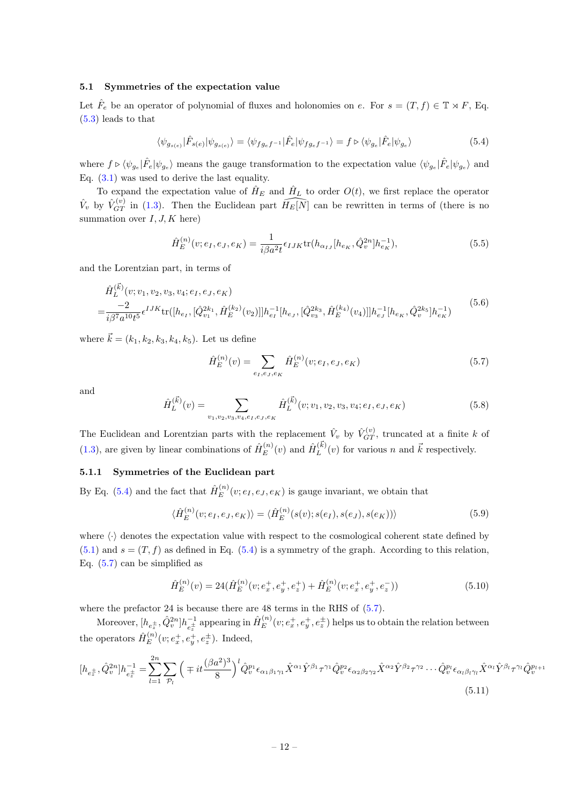#### 5.1 Symmetries of the expectation value

Let  $\hat{F}_e$  be an operator of polynomial of fluxes and holonomies on e. For  $s = (T, f) \in \mathbb{T} \rtimes F$ , Eq. [\(5.3\)](#page-11-2) leads to that

<span id="page-12-1"></span>
$$
\langle \psi_{g_{s(e)}} | \hat{F}_{s(e)} | \psi_{g_{s(e)}} \rangle = \langle \psi_{fg_{e}f^{-1}} | \hat{F}_e | \psi_{fg_{e}f^{-1}} \rangle = f \triangleright \langle \psi_{g_e} | \hat{F}_e | \psi_{g_e} \rangle \tag{5.4}
$$

where  $f \triangleright \langle \psi_{g_e} | \hat{F}_e | \psi_{g_e} \rangle$  means the gauge transformation to the expectation value  $\langle \psi_{g_e} | \hat{F}_e | \psi_{g_e} \rangle$  and Eq. [\(3.1\)](#page-8-3) was used to derive the last equality.

To expand the expectation value of  $\hat{H}_E$  and  $\hat{H}_L$  to order  $O(t)$ , we first replace the operator  $\hat{V}_v$  by  $\hat{V}_{GT}^{(v)}$  in [\(1.3\)](#page-3-0). Then the Euclidean part  $\widehat{H_E[N]}$  can be rewritten in terms of (there is no summation over  $I, J, K$  here)

$$
\hat{H}_{E}^{(n)}(v;e_I,e_J,e_K) = \frac{1}{i\beta a^2 t} \epsilon_{IJK} \text{tr}(h_{\alpha_{IJ}}[h_{e_K},\hat{Q}_v^{2n}]h_{e_K}^{-1}),\tag{5.5}
$$

and the Lorentzian part, in terms of

$$
\hat{H}_{L}^{(\vec{k})}(v; v_1, v_2, v_3, v_4; e_I, e_J, e_K) = \frac{-2}{i\beta^7 a^{10} t^5} \epsilon^{IJK} \text{tr}([h_{e_I}, [\hat{Q}_{v_1}^{2k_1}, \hat{H}_E^{(k_2)}(v_2)]] h_{e_I}^{-1}[h_{e_J}, [\hat{Q}_{v_3}^{2k_3}, \hat{H}_E^{(k_4)}(v_4)]] h_{e_J}^{-1}[h_{e_K}, \hat{Q}_v^{2k_5}] h_{e_K}^{-1})
$$
\n
$$
(5.6)
$$

where  $\vec{k} = (k_1, k_2, k_3, k_4, k_5)$ . Let us define

<span id="page-12-2"></span>
$$
\hat{H}_E^{(n)}(v) = \sum_{e_I, e_J, e_K} \hat{H}_E^{(n)}(v; e_I, e_J, e_K)
$$
\n(5.7)

and

<span id="page-12-5"></span>
$$
\hat{H}_{L}^{(\vec{k})}(v) = \sum_{v_1, v_2, v_3, v_4, e_I, e_J, e_K} \hat{H}_{L}^{(\vec{k})}(v; v_1, v_2, v_3, v_4; e_I, e_J, e_K)
$$
\n(5.8)

The Euclidean and Lorentzian parts with the replacement  $\hat{V}_v$  by  $\hat{V}_{GT}^{(v)}$ , truncated at a finite k of  $(1.3)$ , are given by linear combinations of  $\hat{H}_{E}^{(n)}$  $\hat{H}_{E}^{(n)}(v)$  and  $\hat{H}_{L}^{(\vec{k})}$  $L^{(k)}(v)$  for various n and  $\vec{k}$  respectively.

# <span id="page-12-0"></span>5.1.1 Symmetries of the Euclidean part

By Eq. [\(5.4\)](#page-12-1) and the fact that  $\hat{H}_E^{(n)}$  $E^{(n)}(v; e_I, e_J, e_K)$  is gauge invariant, we obtain that

$$
\langle \hat{H}_E^{(n)}(v; e_I, e_J, e_K) \rangle = \langle \hat{H}_E^{(n)}(s(v); s(e_I), s(e_J), s(e_K)) \rangle \tag{5.9}
$$

where  $\langle \cdot \rangle$  denotes the expectation value with respect to the cosmological coherent state defined by  $(5.1)$  and  $s = (T, f)$  as defined in Eq.  $(5.4)$  is a symmetry of the graph. According to this relation, Eq. [\(5.7\)](#page-12-2) can be simplified as

<span id="page-12-3"></span>
$$
\hat{H}_E^{(n)}(v) = 24(\hat{H}_E^{(n)}(v; e_x^+, e_y^+, e_z^+) + \hat{H}_E^{(n)}(v; e_x^+, e_y^+, e_z^-))
$$
\n(5.10)

where the prefactor 24 is because there are 48 terms in the RHS of  $(5.7)$ .

Moreover,  $[h_{e_z^{\pm}}, \hat{Q}_v^{2n}]h_{e_z^{\pm}}^{-1}$  $\hat{H}^{-1}_{e_z^{\pm}}$  appearing in  $\hat{H}^{(n)}_E$  $E^{(n)}(v; e_x^+, e_y^+, e_z^{\pm})$  helps us to obtain the relation between the operators  $\hat{H}_E^{(n)}$  $E^{(n)}(v; e_x^+, e_y^+, e_z^{\pm})$ . Indeed,

<span id="page-12-4"></span>
$$
[h_{e_{z}^{\pm}}, \hat{Q}_{v}^{2n}]h_{e_{z}^{\pm}}^{-1} = \sum_{l=1}^{2n} \sum_{\mathcal{P}_{l}} \left( \mp it \frac{(\beta a^{2})^{3}}{8} \right)^{l} \hat{Q}_{v}^{p_{1}} \epsilon_{\alpha_{1}\beta_{1}\gamma_{1}} \hat{X}^{\alpha_{1}} \hat{Y}^{\beta_{1}} \tau^{\gamma_{1}} \hat{Q}_{v}^{p_{2}} \epsilon_{\alpha_{2}\beta_{2}\gamma_{2}} \hat{X}^{\alpha_{2}} \hat{Y}^{\beta_{2}} \tau^{\gamma_{2}} \cdots \hat{Q}_{v}^{p_{l}} \epsilon_{\alpha_{l}\beta_{l}\gamma_{l}} \hat{X}^{\alpha_{l}} \hat{Y}^{\beta_{l}} \tau^{\gamma_{l}} \hat{Q}_{v}^{p_{l+1}} \tag{5.11}
$$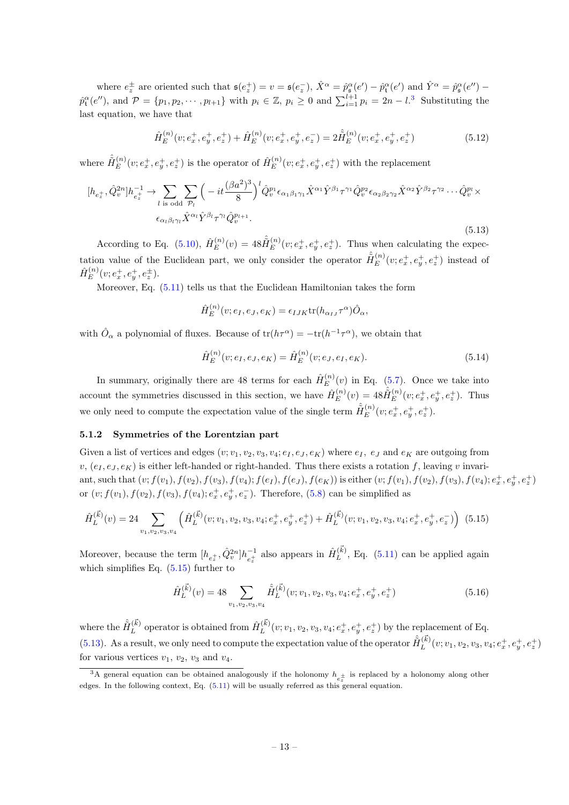where  $e_z^{\pm}$  are oriented such that  $\mathfrak{s}(e_z^+) = v = \mathfrak{s}(e_z^-)$ ,  $\hat{X}^{\alpha} = \hat{p}_{\mathfrak{s}}^{\alpha}(e') - \hat{p}_{\mathfrak{t}}^{\alpha}(e')$  and  $\hat{Y}^{\alpha} = \hat{p}_{\mathfrak{s}}^{\alpha}(e'') - \hat{p}_{\mathfrak{s}}^{\alpha}(e'')$  $\hat{p}_{\mathbf{t}}^{\alpha}(e'')$ , and  $\mathcal{P} = \{p_1, p_2, \cdots, p_{l+1}\}\$  with  $p_i \in \mathbb{Z}, p_i \geq 0$  and  $\sum_{i=1}^{l+1} p_i = 2n - l$ .<sup>[3](#page-13-1)</sup> Substituting the last equation, we have that

<span id="page-13-5"></span>
$$
\hat{H}_E^{(n)}(v; e_x^+, e_y^+, e_z^+) + \hat{H}_E^{(n)}(v; e_x^+, e_y^+, e_z^-) = 2\hat{H}_E^{(n)}(v; e_x^+, e_y^+, e_z^+) \tag{5.12}
$$

where  $\hat{\tilde{H}}_{E}^{(n)}$  $E_E^{(n)}(v; e_x^+, e_y^+, e_z^+)$  is the operator of  $\hat{H}_E^{(n)}$  $E^{(n)}(v; e_x^+, e_y^+, e_z^+)$  with the replacement

<span id="page-13-3"></span>
$$
[h_{e_z^+}, \hat{Q}_v^{2n}]h_{e_z^+}^{-1} \to \sum_{l \text{ is odd}} \sum_{p_l} \left( -it \frac{(\beta a^2)^3}{8} \right)^l \hat{Q}_v^{p_1} \epsilon_{\alpha_1 \beta_1 \gamma_1} \hat{X}^{\alpha_1} \hat{Y}^{\beta_1} \tau^{\gamma_1} \hat{Q}_v^{p_2} \epsilon_{\alpha_2 \beta_2 \gamma_2} \hat{X}^{\alpha_2} \hat{Y}^{\beta_2} \tau^{\gamma_2} \cdots \hat{Q}_v^{p_l} \times \epsilon_{\alpha_l \beta_l \gamma_l} \hat{X}^{\alpha_l} \hat{Y}^{\beta_l} \tau^{\gamma_l} \hat{Q}_v^{p_{l+1}}.
$$
\n
$$
(5.13)
$$

According to Eq. [\(5.10\)](#page-12-3),  $\hat{H}_E^{(n)}$  $E^{(n)}(v) = 48 \hat{H}_E^{(n)}$  $E^{(n)}(v; e_x^+, e_y^+, e_z^+).$  Thus when calculating the expectation value of the Euclidean part, we only consider the operator  $\hat{H}_{E}^{(n)}$  $E^{(n)}(v; e_x^+, e_y^+, e_z^+)$  instead of  $\hat{H}_E^{(n)}$  $E^{(n)}(v;e_x^+,e_y^+,e_z^{\pm}).$ 

Moreover, Eq. [\(5.11\)](#page-12-4) tells us that the Euclidean Hamiltonian takes the form

$$
\hat{H}_E^{(n)}(v; e_I, e_J, e_K) = \epsilon_{IJK} \text{tr}(h_{\alpha_{IJ}} \tau^{\alpha}) \hat{O}_{\alpha},
$$

with  $\hat{O}_{\alpha}$  a polynomial of fluxes. Because of  $tr(h\tau^{\alpha}) = -tr(h^{-1}\tau^{\alpha})$ , we obtain that

<span id="page-13-6"></span>
$$
\hat{H}_E^{(n)}(v; e_I, e_J, e_K) = \hat{H}_E^{(n)}(v; e_J, e_I, e_K).
$$
\n(5.14)

In summary, originally there are 48 terms for each  $\hat{H}_{E}^{(n)}$  $E^{(n)}(v)$  in Eq. [\(5.7\)](#page-12-2). Once we take into account the symmetries discussed in this section, we have  $\hat{H}_E^{(n)}$  $E^{(n)}(v) = 48 \hat{H}_E^{(n)}$  $E^{(n)}(v; e_x^+, e_y^+, e_z^+)$ . Thus we only need to compute the expectation value of the single term  $\hat{H}_E^{(n)}$  $E^{(n)}(v;e_x^+,e_y^+,e_z^+).$ 

#### <span id="page-13-0"></span>5.1.2 Symmetries of the Lorentzian part

Given a list of vertices and edges  $(v; v_1, v_2, v_3, v_4; e_I, e_J, e_K)$  where  $e_I$ ,  $e_J$  and  $e_K$  are outgoing from  $v, (e_I, e_I, e_K)$  is either left-handed or right-handed. Thus there exists a rotation f, leaving v invariant, such that  $(v; f(v_1), f(v_2), f(v_3), f(v_4); f(e_I), f(e_J), f(e_K))$  is either  $(v; f(v_1), f(v_2), f(v_3), f(v_4); e^+_x, e^+_y, e^+_z)$ or  $(v; f(v_1), f(v_2), f(v_3), f(v_4); e_x^+, e_y^+, e_z^-)$ . Therefore, [\(5.8\)](#page-12-5) can be simplified as

<span id="page-13-2"></span>
$$
\hat{H}_{L}^{(\vec{k})}(v) = 24 \sum_{v_1, v_2, v_3, v_4} \left( \hat{H}_{L}^{(\vec{k})}(v; v_1, v_2, v_3, v_4; e_x^+, e_y^+, e_z^+) + \hat{H}_{L}^{(\vec{k})}(v; v_1, v_2, v_3, v_4; e_x^+, e_y^+, e_z^-) \right) (5.15)
$$

Moreover, because the term  $[h_{e_{z}^{+}}, \hat{Q}_{v}^{2n}]h_{e_{z}^{+}}^{-1}$  $e_z^{-1}$  also appears in  $\hat{H}_L^{(\vec{k})}$  $L^{(k)}$ , Eq. [\(5.11\)](#page-12-4) can be applied again which simplifies Eq.  $(5.15)$  further to

<span id="page-13-4"></span>
$$
\hat{H}_L^{(\vec{k})}(v) = 48 \sum_{v_1, v_2, v_3, v_4} \hat{H}_L^{(\vec{k})}(v; v_1, v_2, v_3, v_4; e_x^+, e_y^+, e_z^+) \tag{5.16}
$$

where the  $\hat{\tilde{H}}_L^{(\vec{k})}$  $L^{(\vec{k})}$  operator is obtained from  $\hat{H}^{(\vec{k})}_L$  $L^{(k)}(v; v_1, v_2, v_3, v_4; e_x^+, e_y^+, e_z^+)$  by the replacement of Eq. [\(5.13\)](#page-13-3). As a result, we only need to compute the expectation value of the operator  $\hat{H}_L^{(\vec{k})}$  $L^{(k)}(v;v_1,v_2,v_3,v_4;e_x^+,e_y^+,e_z^+)$ for various vertices  $v_1$ ,  $v_2$ ,  $v_3$  and  $v_4$ .

<span id="page-13-1"></span><sup>&</sup>lt;sup>3</sup>A general equation can be obtained analogously if the holonomy  $h_{e_z^{\pm}}$  is replaced by a holonomy along other edges. In the following context, Eq.  $(5.11)$  will be usually referred as this general equation.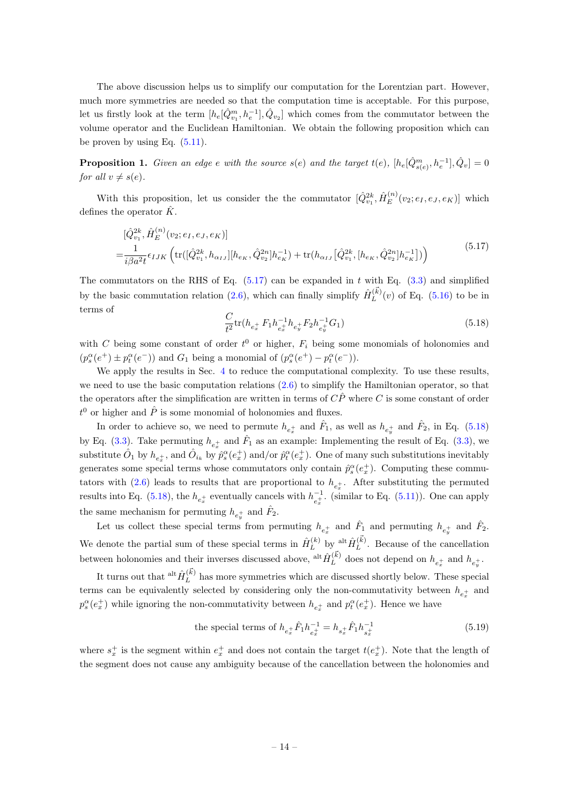The above discussion helps us to simplify our computation for the Lorentzian part. However, much more symmetries are needed so that the computation time is acceptable. For this purpose, let us firstly look at the term  $[h_e[\hat{Q}_{v_1}^m, h_e^{-1}], \hat{Q}_{v_2}]$  which comes from the commutator between the volume operator and the Euclidean Hamiltonian. We obtain the following proposition which can be proven by using Eq.  $(5.11)$ .

**Proposition 1.** Given an edge e with the source  $s(e)$  and the target  $t(e)$ ,  $[h_e[\hat{Q}_{s(e)}^m, h_e^{-1}], \hat{Q}_v] = 0$ for all  $v \neq s(e)$ .

With this proposition, let us consider the the commutator  $[\hat{Q}^{2k}_{v_1}, \hat{H}^{(n)}_E]$  $E^{(n)}(v_2; e_I, e_J, e_K)$  which defines the operator  $\hat{K}$ .

<span id="page-14-0"></span>
$$
\begin{split} &\left[\hat{Q}_{v_1}^{2k}, \hat{H}_E^{(n)}(v_2; e_I, e_J, e_K)\right] \\ &= \frac{1}{i\beta a^2 t} \epsilon_{IJK} \left( \text{tr}([\hat{Q}_{v_1}^{2k}, h_{\alpha_{IJ}}] [h_{e_K}, \hat{Q}_{v_2}^{2n}] h_{e_K}^{-1}) + \text{tr}(h_{\alpha_{IJ}}[\hat{Q}_{v_1}^{2k}, [h_{e_K}, \hat{Q}_{v_2}^{2n}] h_{e_K}^{-1}] )\right) \end{split} \tag{5.17}
$$

The commutators on the RHS of Eq.  $(5.17)$  can be expanded in t with Eq.  $(3.3)$  and simplified by the basic commutation relation [\(2.6\)](#page-5-0), which can finally simplify  $\hat{H}_L^{(\vec{k})}$  $L^{(k)}(v)$  of Eq. [\(5.16\)](#page-13-4) to be in terms of

<span id="page-14-1"></span>
$$
\frac{C}{t^2} \text{tr}(h_{e_x^+} F_1 h_{e_x^+}^{-1} h_{e_y^+} F_2 h_{e_y^+}^{-1} G_1) \tag{5.18}
$$

with C being some constant of order  $t^0$  or higher,  $F_i$  being some monomials of holonomies and  $(p_s^{\alpha}(e^+) \pm p_t^{\alpha}(e^-))$  and  $G_1$  being a monomial of  $(p_s^{\alpha}(e^+) - p_t^{\alpha}(e^-))$ .

We apply the results in Sec. [4](#page-9-0) to reduce the computational complexity. To use these results, we need to use the basic computation relations  $(2.6)$  to simplify the Hamiltonian operator, so that the operators after the simplification are written in terms of  $\hat{CP}$  where C is some constant of order  $t^0$  or higher and  $\hat{P}$  is some monomial of holonomies and fluxes.

In order to achieve so, we need to permute  $h_{e_x^+}$  and  $\hat{F}_1$ , as well as  $h_{e_y^+}$  and  $\hat{F}_2$ , in Eq. [\(5.18\)](#page-14-1) by Eq. [\(3.3\)](#page-8-4). Take permuting  $h_{e_x^+}$  and  $\hat{F}_1$  as an example: Implementing the result of Eq. (3.3), we substitute  $\hat{O}_1$  by  $h_{e_x^+}$ , and  $\hat{O}_{i_k}$  by  $\hat{p}_s^{\alpha}(e_x^+)$  and/or  $\hat{p}_t^{\alpha}(e_x^+)$ . One of many such substitutions inevitably generates some special terms whose commutators only contain  $\hat{p}_s^{\alpha}(e_x^+)$ . Computing these commutators with  $(2.6)$  leads to results that are proportional to  $h_{e_x^+}$ . After substituting the permuted results into Eq. [\(5.18\)](#page-14-1), the  $h_{e_x^{+}}$  eventually cancels with  $h_{e_x^{+}}^{-1}$  $\overline{e}_{e_x}^{-1}$ . (similar to Eq. [\(5.11\)](#page-12-4)). One can apply the same mechanism for permuting  $h_{e_y^+}$  and  $\hat{F}_2$ .

Let us collect these special terms from permuting  $h_{e_x^+}$  and  $\hat{F}_1$  and permuting  $h_{e_y^+}$  and  $\hat{F}_2$ . We denote the partial sum of these special terms in  $\hat{H}_L^{(k)}$  $\hat{H}_L^{(k)}$  by  $\frac{\text{alt}\hat{H}_L^{(\vec{k})}}{L}$  $L^{(k)}$ . Because of the cancellation between holonomies and their inverses discussed above,  $\mathop{\mathrm{alt}}\nolimits \hat{H}_L^{(\vec{k})}$  $L^{(k)}$  does not depend on  $h_{e_x^+}$  and  $h_{e_y^+}$ .

It turns out that  $\hat{\mathrm{a}}^{\dagger}$   $\hat{H}_L^{(\vec{k})}$  $L^{(k)}$  has more symmetries which are discussed shortly below. These special terms can be equivalently selected by considering only the non-commutativity between  $h_{e_x^+}$  and  $p_s^{\alpha}(e_x^+)$  while ignoring the non-commutativity between  $h_{e_x^+}$  and  $p_t^{\alpha}(e_x^+)$ . Hence we have

<span id="page-14-2"></span>the special terms of 
$$
h_{e_x^+} \hat{F}_1 h_{e_x^+}^{-1} = h_{s_x^+} \hat{F}_1 h_{s_x^+}^{-1}
$$
 (5.19)

where  $s_x^+$  is the segment within  $e_x^+$  and does not contain the target  $t(e_x^+)$ . Note that the length of the segment does not cause any ambiguity because of the cancellation between the holonomies and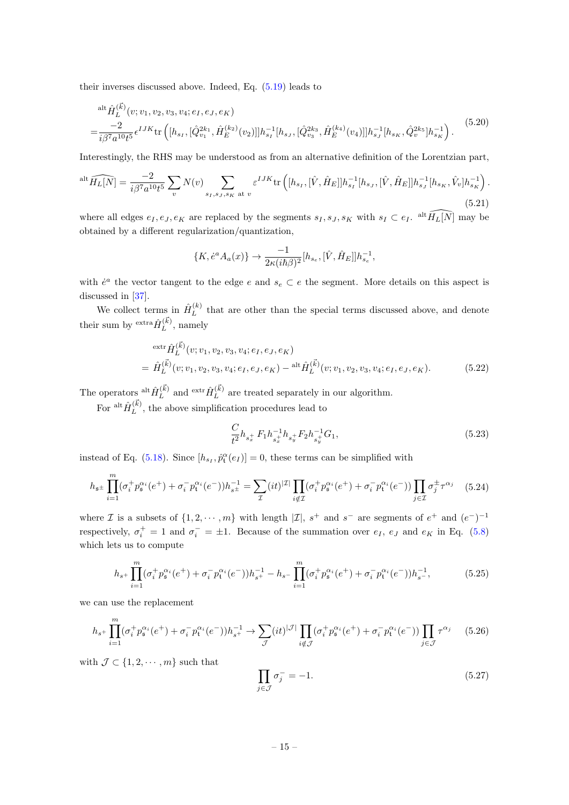their inverses discussed above. Indeed, Eq. [\(5.19\)](#page-14-2) leads to

$$
\begin{split} & \mathsf{alt}_{L} \hat{H}_{L}^{(\vec{k})}(v; v_{1}, v_{2}, v_{3}, v_{4}; e_{I}, e_{J}, e_{K}) \\ & = \frac{-2}{i\beta^{7}a^{10}t^{5}} \epsilon^{IJK} \mathsf{tr}\left( [h_{s_{I}}, [\hat{Q}_{v_{1}}^{2k_{1}}, \hat{H}_{E}^{(k_{2})}(v_{2})]] h_{s_{I}}^{-1}[h_{s_{J}}, [\hat{Q}_{v_{3}}^{2k_{3}}, \hat{H}_{E}^{(k_{4})}(v_{4})]] h_{s_{J}}^{-1}[h_{s_{K}}, \hat{Q}_{v}^{2k_{5}}] h_{s_{K}}^{-1} \right). \end{split} \tag{5.20}
$$

Interestingly, the RHS may be understood as from an alternative definition of the Lorentzian part,

<span id="page-15-4"></span>
$$
\mathrm{alt}\,\widehat{H_L[N]} = \frac{-2}{i\beta^7 a^{10} t^5} \sum_{v} N(v) \sum_{s_I, s_J, s_K \text{ at } v} \varepsilon^{IJK} \mathrm{tr}\left( [h_{s_I}, [\hat{V}, \hat{H}_E]] h_{s_I}^{-1} [h_{s_J}, [\hat{V}, \hat{H}_E]] h_{s_J}^{-1} [h_{s_K}, \hat{V}_v] h_{s_K}^{-1} \right). \tag{5.21}
$$

where all edges  $e_I, e_J, e_K$  are replaced by the segments  $s_I, s_J, s_K$  with  $s_I \subset e_I$ . <sup>alt</sup>  $\widehat{H_L[N]}$  may be obtained by a different regularization/quantization,

$$
\{K, \dot{e}^a A_a(x)\} \to \frac{-1}{2\kappa(i\hbar\beta)^2} [h_{s_e}, [\hat{V}, \hat{H}_E]] h_{s_e}^{-1},
$$

with  $\dot{e}^a$  the vector tangent to the edge e and  $s_e \subset e$  the segment. More details on this aspect is discussed in [\[37\]](#page-23-6).

We collect terms in  $\hat{H}_L^{(k)}$  $L^{(k)}$  that are other than the special terms discussed above, and denote their sum by  $\frac{\text{extra}}{\hat{H}_L^{(\vec{k})}}$  $L^{(\kappa)}$ , namely

<span id="page-15-3"></span>
$$
\begin{split} & \operatorname{extr} \hat{H}_{L}^{(\vec{k})}(v; v_1, v_2, v_3, v_4; e_I, e_J, e_K) \\ &= \hat{H}_{L}^{(\vec{k})}(v; v_1, v_2, v_3, v_4; e_I, e_J, e_K) - \operatorname{alt} \hat{H}_{L}^{(\vec{k})}(v; v_1, v_2, v_3, v_4; e_I, e_J, e_K). \end{split} \tag{5.22}
$$

The operators  $\frac{\text{alt}\hat{H}(\vec{k})}{L}$  $L^{(\vec{k})}$  and  $\frac{\operatorname{extr} \hat{H}^{(\vec{k})}_L}{L}$  $L^{(k)}$  are treated separately in our algorithm.

For  $\frac{\text{alt}\hat{H}^{(\vec{k})}_L}{L}$  $L^{(k)}$ , the above simplification procedures lead to

<span id="page-15-1"></span>
$$
\frac{C}{t^2}h_{s_x^+}F_1h_{s_x^+}^{-1}h_{s_y^+}F_2h_{s_y^+}^{-1}G_1,
$$
\n(5.23)

instead of Eq. [\(5.18\)](#page-14-1). Since  $[h_{s_I}, \hat{p}_{t}^{\alpha}(e_I)] = 0$ , these terms can be simplified with

<span id="page-15-2"></span>
$$
h_{\mathfrak{s}^{\pm}} \prod_{i=1}^{m} (\sigma_i^+ p_{\mathfrak{s}}^{\alpha_i} (e^+) + \sigma_i^- p_{\mathfrak{t}}^{\alpha_i} (e^-)) h_{s^{\pm}}^{-1} = \sum_{\mathcal{I}} (it)^{|\mathcal{I}|} \prod_{i \notin \mathcal{I}} (\sigma_i^+ p_{\mathfrak{s}}^{\alpha_i} (e^+) + \sigma_i^- p_{\mathfrak{t}}^{\alpha_i} (e^-)) \prod_{j \in \mathcal{I}} \sigma_j^{\pm} \tau^{\alpha_j} \tag{5.24}
$$

where *I* is a subsets of  $\{1, 2, \dots, m\}$  with length  $|I|$ ,  $s^+$  and  $s^-$  are segments of  $e^+$  and  $(e^-)^{-1}$ respectively,  $\sigma_i^+ = 1$  and  $\sigma_i^- = \pm 1$ . Because of the summation over  $e_I$ ,  $e_J$  and  $e_K$  in Eq. [\(5.8\)](#page-12-5) which lets us to compute

$$
h_{s^{+}}\prod_{i=1}^{m}(\sigma_{i}^{+}p_{\mathfrak{s}}^{\alpha_{i}}(e^{+})+\sigma_{i}^{-}p_{\mathfrak{t}}^{\alpha_{i}}(e^{-}))h_{s^{+}}^{-1}-h_{s^{-}}\prod_{i=1}^{m}(\sigma_{i}^{+}p_{\mathfrak{s}}^{\alpha_{i}}(e^{+})+\sigma_{i}^{-}p_{\mathfrak{t}}^{\alpha_{i}}(e^{-}))h_{s^{-}}^{-1},
$$
\n(5.25)

we can use the replacement

<span id="page-15-0"></span>
$$
h_{s+} \prod_{i=1}^{m} (\sigma_i^+ p_{\mathfrak{s}}^{\alpha_i}(e^+) + \sigma_i^- p_{\mathfrak{t}}^{\alpha_i}(e^-)) h_{s+}^{-1} \to \sum_{\mathcal{J}} (it)^{|\mathcal{J}|} \prod_{i \notin \mathcal{J}} (\sigma_i^+ p_{\mathfrak{s}}^{\alpha_i}(e^+) + \sigma_i^- p_{\mathfrak{t}}^{\alpha_i}(e^-)) \prod_{j \in \mathcal{J}} \tau^{\alpha_j} \tag{5.26}
$$

with  $\mathcal{J} \subset \{1, 2, \cdots, m\}$  such that

$$
\prod_{j \in \mathcal{J}} \sigma_j^- = -1. \tag{5.27}
$$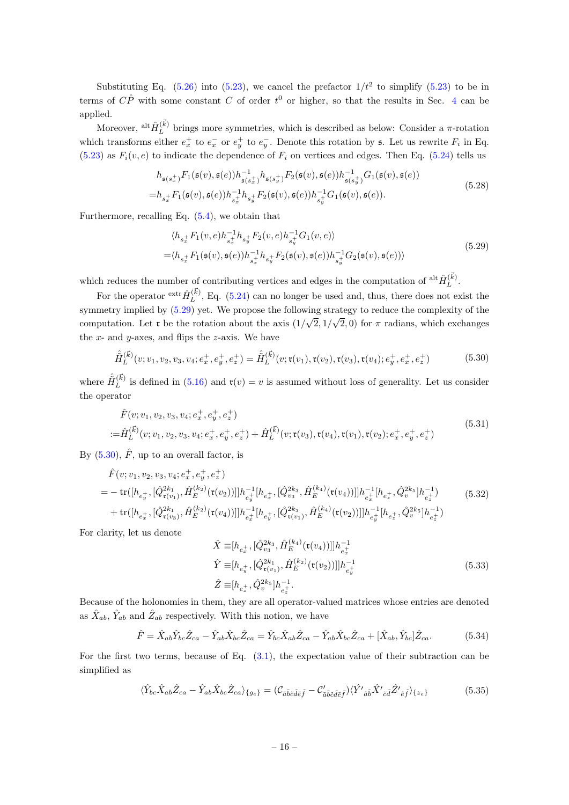Substituting Eq.  $(5.26)$  into  $(5.23)$ , we cancel the prefactor  $1/t^2$  to simplify  $(5.23)$  to be in terms of  $\hat{CP}$  with some constant C of order  $t^0$  or higher, so that the results in Sec. [4](#page-9-0) can be applied.

Moreover,  $\frac{\text{alt}\hat{H}(\vec{k})}{L}$  $L^{(k)}$  brings more symmetries, which is described as below: Consider a  $\pi$ -rotation which transforms either  $e_x^+$  to  $e_x^-$  or  $e_y^+$  to  $e_y^-$ . Denote this rotation by s. Let us rewrite  $F_i$  in Eq.  $(5.23)$  as  $F_i(v, e)$  to indicate the dependence of  $F_i$  on vertices and edges. Then Eq. [\(5.24\)](#page-15-2) tells us

$$
h_{\mathfrak{s}(s_x^+)} F_1(\mathfrak{s}(v), \mathfrak{s}(e)) h_{\mathfrak{s}(s_x^+)}^{-1} h_{\mathfrak{s}(s_x^+)} F_2(\mathfrak{s}(v), \mathfrak{s}(e)) h_{\mathfrak{s}(s_y^+)}^{-1} G_1(\mathfrak{s}(v), \mathfrak{s}(e))
$$
  
=
$$
h_{s_x^+} F_1(\mathfrak{s}(v), \mathfrak{s}(e)) h_{s_x^+}^{-1} h_{s_y^+} F_2(\mathfrak{s}(v), \mathfrak{s}(e)) h_{s_y^+}^{-1} G_1(\mathfrak{s}(v), \mathfrak{s}(e)).
$$
 (5.28)

Furthermore, recalling Eq. [\(5.4\)](#page-12-1), we obtain that

<span id="page-16-0"></span>
$$
\langle h_{s_x^+} F_1(v, e) h_{s_x^+}^{-1} h_{s_y^+} F_2(v, e) h_{s_y^+}^{-1} G_1(v, e) \rangle = \langle h_{s_x^+} F_1(\mathfrak{s}(v), \mathfrak{s}(e)) h_{s_x^+}^{-1} h_{s_y^+} F_2(\mathfrak{s}(v), \mathfrak{s}(e)) h_{s_y^+}^{-1} G_2(\mathfrak{s}(v), \mathfrak{s}(e)) \rangle
$$
\n(5.29)

which reduces the number of contributing vertices and edges in the computation of  $\frac{\text{alt}\hat{H}(\vec{k})}{L}$  $L^{(\kappa)}$ .

For the operator  $\mathop{\mathrm{extr}}\hat{H}_L^{(\vec{k})}$  $L^{(k)}$ , Eq. [\(5.24\)](#page-15-2) can no longer be used and, thus, there does not exist the symmetry implied by  $(5.29)$  yet. We propose the following strategy to reduce the complexity of the computation. Let **r** be the rotation about the axis  $(1/\sqrt{2}, 1/\sqrt{2}, 0)$  for  $\pi$  radians, which exchanges the  $x$ - and  $y$ -axes, and flips the  $z$ -axis. We have

<span id="page-16-1"></span>
$$
\hat{\tilde{H}}_L^{(\vec{k})}(v; v_1, v_2, v_3, v_4; e_x^+, e_y^+, e_z^+) = \hat{\tilde{H}}_L^{(\vec{k})}(v; \mathfrak{r}(v_1), \mathfrak{r}(v_2), \mathfrak{r}(v_3), \mathfrak{r}(v_4); e_y^+, e_x^+, e_z^+) \tag{5.30}
$$

where  $\hat{\tilde{H}}_L^{(\vec{k})}$  $L^{(k)}$  is defined in [\(5.16\)](#page-13-4) and  $\mathfrak{r}(v) = v$  is assumed without loss of generality. Let us consider the operator

$$
\hat{F}(v; v_1, v_2, v_3, v_4; e_x^+, e_y^+, e_z^+)
$$
\n
$$
:= \hat{H}_L^{(\vec{k})}(v; v_1, v_2, v_3, v_4; e_x^+, e_y^+, e_z^+) + \hat{H}_L^{(\vec{k})}(v; \mathfrak{r}(v_3), \mathfrak{r}(v_4), \mathfrak{r}(v_1), \mathfrak{r}(v_2); e_x^+, e_y^+, e_z^+) \tag{5.31}
$$

By  $(5.30), \hat{F}$ , up to an overall factor, is

$$
\hat{F}(v; v_1, v_2, v_3, v_4; e_x^+, e_y^+, e_z^+)
$$
\n
$$
= -\operatorname{tr}([h_{e_y^+}, [\hat{Q}_{\tau(v_1)}^{2k_1}, \hat{H}_E^{(k_2)}(\tau(v_2))]]h_{e_y^+}^{-1}[h_{e_x^+}, [\hat{Q}_{v_3}^{2k_3}, \hat{H}_E^{(k_4)}(\tau(v_4))]]h_{e_x^+}^{-1}[h_{e_x^+}, \hat{Q}_v^{2k_5}]h_{e_z^+}^{-1}) \n+ \operatorname{tr}([h_{e_x^+}, [\hat{Q}_{\tau(v_3)}^{2k_1}, \hat{H}_E^{(k_2)}(\tau(v_4))]]h_{e_x^+}^{-1}[h_{e_y^+}, [\hat{Q}_{\tau(v_1)}^{2k_3}, \hat{H}_E^{(k_4)}(\tau(v_2))]]h_{e_y^+}^{-1}[h_{e_x^+}, \hat{Q}_v^{2k_5}]h_{e_z^+}^{-1})
$$
\n(5.32)

For clarity, let us denote

$$
\hat{X} \equiv [h_{e_x^+}, [\hat{Q}_{v_3}^{2k_3}, \hat{H}_E^{(k_4)}(\mathfrak{r}(v_4))] ]h_{e_x^+}^{-1}
$$
\n
$$
\hat{Y} \equiv [h_{e_y^+}, [\hat{Q}_{\mathfrak{r}(v_1)}^{2k_1}, \hat{H}_E^{(k_2)}(\mathfrak{r}(v_2))]]h_{e_y^+}^{-1}
$$
\n
$$
\hat{Z} \equiv [h_{e_x^+}, \hat{Q}_v^{2k_5}]h_{e_z^+}^{-1}.
$$
\n(5.33)

Because of the holonomies in them, they are all operator-valued matrices whose entries are denoted as  $\hat{X}_{ab}$ ,  $\hat{Y}_{ab}$  and  $\hat{Z}_{ab}$  respectively. With this notion, we have

<span id="page-16-2"></span>
$$
\hat{F} = \hat{X}_{ab}\hat{Y}_{bc}\hat{Z}_{ca} - \hat{Y}_{ab}\hat{X}_{bc}\hat{Z}_{ca} = \hat{Y}_{bc}\hat{X}_{ab}\hat{Z}_{ca} - \hat{Y}_{ab}\hat{X}_{bc}\hat{Z}_{ca} + [\hat{X}_{ab}, \hat{Y}_{bc}]\hat{Z}_{ca}.
$$
(5.34)

For the first two terms, because of Eq. [\(3.1\)](#page-8-3), the expectation value of their subtraction can be simplified as

$$
\langle \hat{Y}_{bc}\hat{X}_{ab}\hat{Z}_{ca} - \hat{Y}_{ab}\hat{X}_{bc}\hat{Z}_{ca}\rangle_{\{g_e\}} = (\mathcal{C}_{\tilde{a}\tilde{b}\tilde{c}\tilde{d}\tilde{e}\tilde{f}} - \mathcal{C}'_{\tilde{a}\tilde{b}\tilde{c}\tilde{d}\tilde{e}\tilde{f}})\langle \hat{Y'}_{\tilde{a}\tilde{b}}\hat{X'}_{\tilde{c}\tilde{d}}\hat{Z'}_{\tilde{e}\tilde{f}}\rangle_{\{z_e\}}\tag{5.35}
$$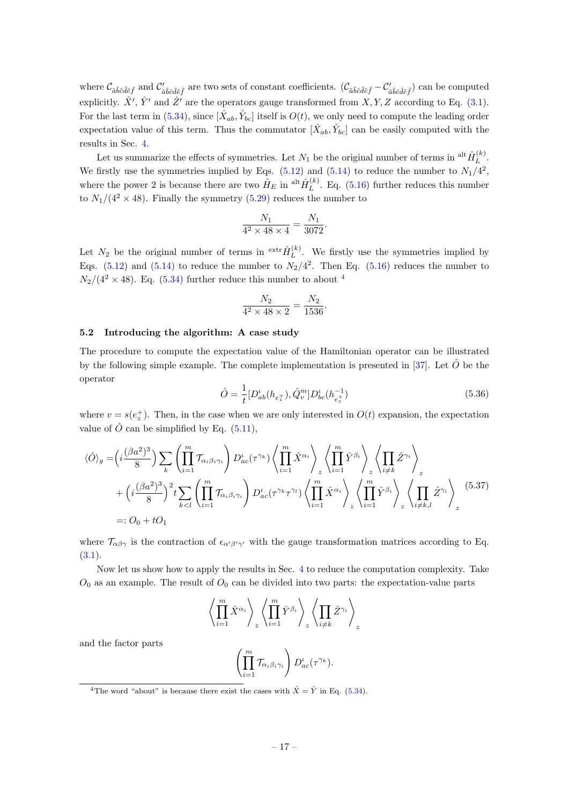where  $\mathcal{C}_{\tilde{a}\tilde{b}\tilde{c}\tilde{d}\tilde{e}\tilde{f}}$  and  $\mathcal{C}'_{\tilde{a}\tilde{b}\tilde{c}\tilde{d}\tilde{e}\tilde{f}}$  are two sets of constant coefficients.  $(\mathcal{C}_{\tilde{a}\tilde{b}\tilde{c}\tilde{d}\tilde{e}\tilde{f}} - \mathcal{C}'_{\tilde{a}\tilde{b}\tilde{c}\tilde{d}\tilde{e}\tilde{f}})$  can be comp explicitly.  $\hat{X}', \hat{Y}'$  and  $\hat{Z}'$  are the operators gauge transformed from  $X, Y, Z$  according to Eq. [\(3.1\)](#page-8-3). For the last term in [\(5.34\)](#page-16-2), since  $[\hat{X}_{ab}, \hat{Y}_{bc}]$  itself is  $O(t)$ , we only need to compute the leading order expectation value of this term. Thus the commutator  $[\hat{X}_{ab}, \hat{Y}_{bc}]$  can be easily computed with the results in Sec. [4.](#page-9-0)

Let us summarize the effects of symmetries. Let  $N_1$  be the original number of terms in  $\frac{alt\hat{H}_L^{(k)}}{L}$  $L^{(\kappa)}$ . We firstly use the symmetries implied by Eqs.  $(5.12)$  and  $(5.14)$  to reduce the number to  $N_1/4^2$ , where the power 2 is because there are two  $\hat{H}_E$  in  $\text{alt}\hat{H}_L^{(k)}$  $L^{(k)}$ . Eq. [\(5.16\)](#page-13-4) further reduces this number to  $N_1/(4^2 \times 48)$ . Finally the symmetry [\(5.29\)](#page-16-0) reduces the number to

$$
\frac{N_1}{4^2 \times 48 \times 4} = \frac{N_1}{3072}.
$$

Let  $N_2$  be the original number of terms in <sup>extr</sup> $\hat{H}_L^{(k)}$  $L^{(k)}$ . We firstly use the symmetries implied by Eqs.  $(5.12)$  and  $(5.14)$  to reduce the number to  $N_2/4^2$ . Then Eq.  $(5.16)$  reduces the number to  $N_2/(4^2 \times 48)$  $N_2/(4^2 \times 48)$  $N_2/(4^2 \times 48)$ . Eq. [\(5.34\)](#page-16-2) further reduce this number to about  $4$ 

$$
\frac{N_2}{4^2 \times 48 \times 2} = \frac{N_2}{1536}.
$$

#### <span id="page-17-0"></span>5.2 Introducing the algorithm: A case study

The procedure to compute the expectation value of the Hamiltonian operator can be illustrated by the following simple example. The complete implementation is presented in [\[37\]](#page-23-6). Let  $\hat{O}$  be the operator

$$
\hat{O} = \frac{1}{t} [D_{ab}^{\iota}(h_{e_z^+}), \hat{Q}_v^m] D_{bc}^{\iota}(h_{e_z^+}^{-1})
$$
\n(5.36)

where  $v = s(e_z^+)$ . Then, in the case when we are only interested in  $O(t)$  expansion, the expectation value of  $\hat{O}$  can be simplified by Eq. [\(5.11\)](#page-12-4),

$$
\langle \hat{O} \rangle_{g} = \left( i \frac{(\beta a^{2})^{3}}{8} \right) \sum_{k} \left( \prod_{i=1}^{m} \mathcal{T}_{\alpha_{i} \beta_{i} \gamma_{i}} \right) D_{ac}^{\iota}(\tau^{\gamma_{k}}) \left\langle \prod_{i=1}^{m} \hat{X}^{\alpha_{i}} \right\rangle_{z} \left\langle \prod_{i=1}^{m} \hat{Y}^{\beta_{i}} \right\rangle_{z} \left\langle \prod_{i \neq k} \hat{Z}^{\gamma_{i}} \right\rangle_{z} + \left( i \frac{(\beta a^{2})^{3}}{8} \right)^{2} t \sum_{k < l} \left( \prod_{i=1}^{m} \mathcal{T}_{\alpha_{i} \beta_{i} \gamma_{i}} \right) D_{ac}^{\iota}(\tau^{\gamma_{k}} \tau^{\gamma_{l}}) \left\langle \prod_{i=1}^{m} \hat{X}^{\alpha_{i}} \right\rangle_{z} \left\langle \prod_{i=1}^{m} \hat{Y}^{\beta_{i}} \right\rangle_{z} \left\langle \prod_{i \neq k, l} \hat{Z}^{\gamma_{i}} \right\rangle_{z}
$$
\n
$$
=: O_{0} + t O_{1} \qquad (5.37)
$$

where  $\mathcal{T}_{\alpha\beta\gamma}$  is the contraction of  $\epsilon_{\alpha'\beta'\gamma'}$  with the gauge transformation matrices according to Eq.  $(3.1).$  $(3.1).$ 

Now let us show how to apply the results in Sec. [4](#page-9-0) to reduce the computation complexity. Take  $O<sub>0</sub>$  as an example. The result of  $O<sub>0</sub>$  can be divided into two parts: the expectation-value parts

$$
\left\langle \prod_{i=1}^m \hat{X}^{\alpha_i} \right\rangle_z \left\langle \prod_{i=1}^m \hat{Y}^{\beta_i} \right\rangle_z \left\langle \prod_{i \neq k} \hat{Z}^{\gamma_i} \right\rangle_z
$$

and the factor parts

$$
\left(\prod_{i=1}^m \mathcal{T}_{\alpha_i\beta_i\gamma_i}\right) D_{ac}^{\iota}(\tau^{\gamma_k}).
$$

<span id="page-17-1"></span><sup>&</sup>lt;sup>4</sup>The word "about" is because there exist the cases with  $\hat{X} = \hat{Y}$  in Eq. [\(5.34\)](#page-16-2).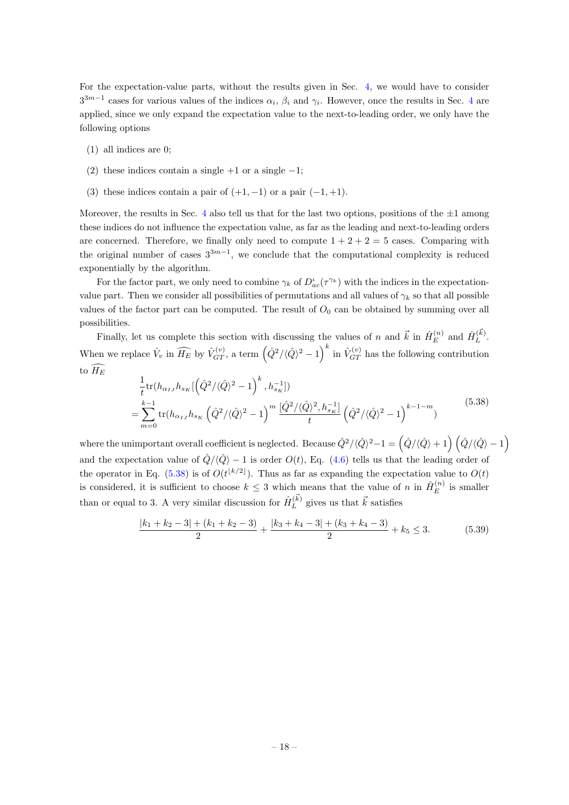For the expectation-value parts, without the results given in Sec. [4,](#page-9-0) we would have to consider  $3^{3m-1}$  cases for various values of the indices  $\alpha_i$ ,  $\beta_i$  and  $\gamma_i$ . However, once the results in Sec. [4](#page-9-0) are applied, since we only expand the expectation value to the next-to-leading order, we only have the following options

- (1) all indices are 0;
- (2) these indices contain a single  $+1$  or a single  $-1$ ;
- (3) these indices contain a pair of  $(+1, -1)$  or a pair  $(-1, +1)$ .

Moreover, the results in Sec. [4](#page-9-0) also tell us that for the last two options, positions of the  $\pm 1$  among these indices do not influence the expectation value, as far as the leading and next-to-leading orders are concerned. Therefore, we finally only need to compute  $1 + 2 + 2 = 5$  cases. Comparing with the original number of cases  $3^{3m-1}$ , we conclude that the computational complexity is reduced exponentially by the algorithm.

For the factor part, we only need to combine  $\gamma_k$  of  $D_{ac}^i(\tau^{\gamma_k})$  with the indices in the expectationvalue part. Then we consider all possibilities of permutations and all values of  $\gamma_k$  so that all possible values of the factor part can be computed. The result of  $O_0$  can be obtained by summing over all possibilities.

Finally, let us complete this section with discussing the values of n and  $\vec{k}$  in  $\hat{H}_{E}^{(n)}$  $\hat{H}_{E}^{(n)}$  and  $\hat{H}_{L}^{(\vec{k})}$  $L^{(\kappa)}$ . When we replace  $\hat{V}_v$  in  $\widehat{H_E}$  by  $\hat{V}_{GT}^{(v)}$ , a term  $(\hat{Q}^2/\langle \hat{Q} \rangle^2 - 1)^k$  in  $\hat{V}_{GT}^{(v)}$  has the following contribution to  $\widehat{H_E}$ 

<span id="page-18-1"></span>
$$
\frac{1}{t} \text{tr}(h_{\alpha_{IJ}} h_{s_K} [\hat{Q}^2 / \langle \hat{Q} \rangle^2 - 1)^k, h_{s_K}^{-1}])
$$
\n
$$
= \sum_{m=0}^{k-1} \text{tr}(h_{\alpha_{IJ}} h_{s_K} \left( \hat{Q}^2 / \langle \hat{Q} \rangle^2 - 1 \right)^m \frac{[\hat{Q}^2 / \langle \hat{Q} \rangle^2, h_{s_K}^{-1}]}{t} \left( \hat{Q}^2 / \langle \hat{Q} \rangle^2 - 1 \right)^{k-1-m})
$$
\n(5.38)

where the unimportant overall coefficient is neglected. Because  $\hat{Q}^2/\langle \hat{Q} \rangle^2 - 1 = \left( \hat{Q} / \langle \hat{Q} \rangle + 1 \right) \left( \hat{Q} / \langle \hat{Q} \rangle - 1 \right)$ and the expectation value of  $\hat{Q}/\langle \hat{Q} \rangle - 1$  is order  $O(t)$ , Eq. [\(4.6\)](#page-10-2) tells us that the leading order of the operator in Eq. [\(5.38\)](#page-18-1) is of  $O(t^{\lfloor k/2 \rfloor})$ . Thus as far as expanding the expectation value to  $O(t)$ is considered, it is sufficient to choose  $k \leq 3$  which means that the value of n in  $\hat{H}_E^{(n)}$  $E^{(n)}$  is smaller than or equal to 3. A very similar discussion for  $\hat{H}_L^{(\vec{k})}$  $L_L^{(k)}$  gives us that  $\vec{k}$  satisfies

<span id="page-18-0"></span>
$$
\frac{|k_1 + k_2 - 3| + (k_1 + k_2 - 3)}{2} + \frac{|k_3 + k_4 - 3| + (k_3 + k_4 - 3)}{2} + k_5 \le 3.
$$
 (5.39)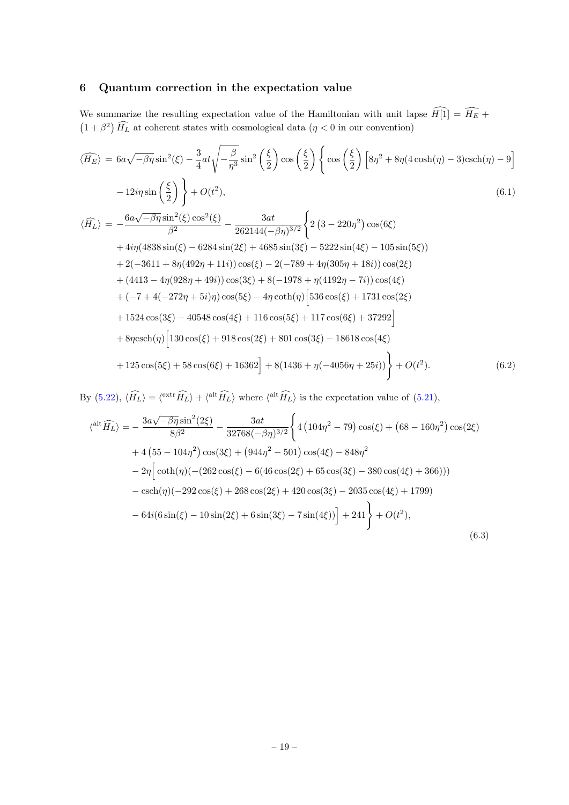# 6 Quantum correction in the expectation value

We summarize the resulting expectation value of the Hamiltonian with unit lapse  $H[1] = H_E +$  $(1 + \beta^2)$   $H_L$  at coherent states with cosmological data ( $\eta < 0$  in our convention)

<span id="page-19-0"></span>
$$
\langle \widehat{H_E} \rangle = 6a\sqrt{-\beta\eta}\sin^2(\xi) - \frac{3}{4}at\sqrt{-\frac{\beta}{\eta^3}}\sin^2\left(\frac{\xi}{2}\right)\cos\left(\frac{\xi}{2}\right)\left\{\cos\left(\frac{\xi}{2}\right)\left[8\eta^2 + 8\eta(4\cosh(\eta) - 3)\text{csch}(\eta) - 9\right]\right\}
$$
  
\n
$$
-12i\eta\sin\left(\frac{\xi}{2}\right)\right\} + O(t^2),
$$
  
\n
$$
\langle \widehat{H_L} \rangle = -\frac{6a\sqrt{-\beta\eta}\sin^2(\xi)\cos^2(\xi)}{\beta^2} - \frac{3at}{262144(-\beta\eta)^{3/2}}\left\{2\left(3 - 220\eta^2\right)\cos(6\xi) + 4i\eta(4838\sin(\xi) - 6284\sin(2\xi) + 4685\sin(3\xi) - 5222\sin(4\xi) - 105\sin(5\xi)\right)
$$
  
\n
$$
+ 2(-3611 + 8\eta(492\eta + 11i))\cos(\xi) - 2(-789 + 4\eta(305\eta + 18i))\cos(2\xi) + (4413 - 4\eta(928\eta + 49i))\cos(3\xi) + 8(-1978 + \eta(4192\eta - 7i))\cos(4\xi)
$$
  
\n
$$
+ (-7 + 4(-272\eta + 5i)\eta)\cos(5\xi) - 4\eta\coth(\eta)\left[536\cos(\xi) + 1731\cos(2\xi) + 1524\cos(3\xi) - 40548\cos(4\xi) + 116\cos(5\xi) + 117\cos(6\xi) + 37292\right]
$$
  
\n
$$
+ 8\eta\text{csch}(\eta)\left[130\cos(\xi) + 918\cos(2\xi) + 801\cos(3\xi) - 18618\cos(4\xi)
$$
  
\n
$$
+ 125\cos(5\xi) + 58\cos(6\xi) + 16362\right] + 8(1436 + \eta(-4056\eta + 25i))\right\} + O(t^2
$$

By [\(5.22\)](#page-15-3),  $\langle \hat{H}_L \rangle = \langle^{\text{extr}} \hat{H}_L \rangle + \langle^{\text{alt}} \hat{H}_L \rangle$  where  $\langle^{\text{alt}} \hat{H}_L \rangle$  is the expectation value of [\(5.21\)](#page-15-4),

$$
\langle \sup_{\alpha} \{\hat{H}_L\} \rangle = -\frac{3a\sqrt{-\beta\eta}\sin^2(2\xi)}{8\beta^2} - \frac{3at}{32768(-\beta\eta)^{3/2}} \left\{ 4\left(104\eta^2 - 79\right)\cos(\xi) + \left(68 - 160\eta^2\right)\cos(2\xi) \right. \\ + 4\left(55 - 104\eta^2\right)\cos(3\xi) + \left(944\eta^2 - 501\right)\cos(4\xi) - 848\eta^2 \\ - 2\eta \Big[\coth(\eta)\left(-\left(262\cos(\xi) - 6(46\cos(2\xi) + 65\cos(3\xi) - 380\cos(4\xi) + 366\right)\right) \right. \\ - \operatorname{csch}(\eta)\left(-292\cos(\xi) + 268\cos(2\xi) + 420\cos(3\xi) - 2035\cos(4\xi) + 1799\right) \\ - 64i(6\sin(\xi) - 10\sin(2\xi) + 6\sin(3\xi) - 7\sin(4\xi)\right) \Big] + 241 \Big\} + O(t^2), \tag{6.3}
$$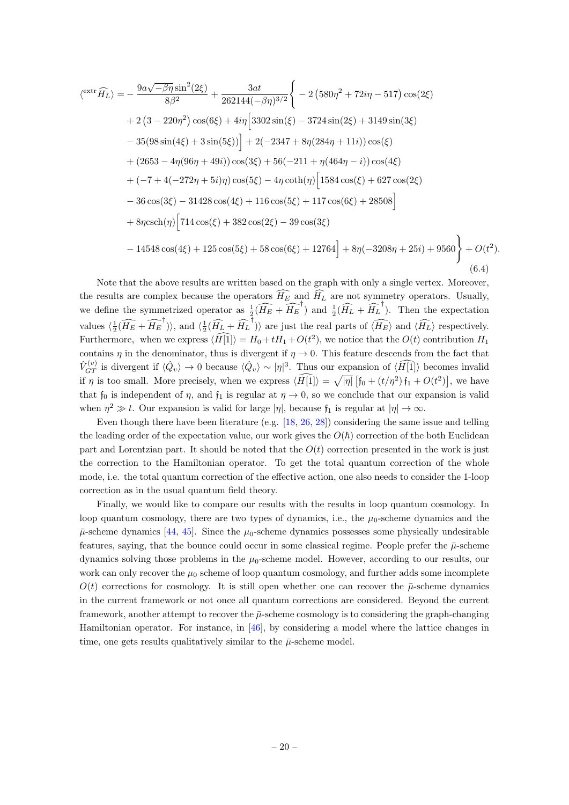$$
\langle \text{extr} \widehat{H_L} \rangle = -\frac{9a\sqrt{-\beta\eta}\sin^2(2\xi)}{8\beta^2} + \frac{3at}{262144(-\beta\eta)^{3/2}} \Bigg\{-2\left(580\eta^2 + 72i\eta - 517\right)\cos(2\xi) + 2\left(3 - 220\eta^2\right)\cos(6\xi) + 4i\eta \Big[3302\sin(\xi) - 3724\sin(2\xi) + 3149\sin(3\xi) - 35(98\sin(4\xi) + 3\sin(5\xi))\Big] + 2(-2347 + 8\eta(284\eta + 11i))\cos(\xi) + (2653 - 4\eta(96\eta + 49i))\cos(3\xi) + 56(-211 + \eta(464\eta - i))\cos(4\xi) + (-7 + 4(-272\eta + 5i)\eta)\cos(5\xi) - 4\eta\coth(\eta) \Big[1584\cos(\xi) + 627\cos(2\xi) - 36\cos(3\xi) - 31428\cos(4\xi) + 116\cos(5\xi) + 117\cos(6\xi) + 28508\Big] + 8\eta\text{csch}(\eta) \Big[714\cos(\xi) + 382\cos(2\xi) - 39\cos(3\xi) - 14548\cos(4\xi) + 125\cos(5\xi) + 58\cos(6\xi) + 12764\Big] + 8\eta(-3208\eta + 25i) + 9560\Bigg\} + O(t^2).
$$
\n(6.4)

Note that the above results are written based on the graph with only a single vertex. Moreover, the results are complex because the operators  $H_E$  and  $H_L$  are not symmetry operators. Usually, we define the symmetrized operator as  $\frac{1}{2}(\widehat{H_E} + \widehat{H_E}^{\dagger})$  and  $\frac{1}{2}(\widehat{H_L} + \widehat{H_L}^{\dagger})$ . Then the expectation values  $\langle \frac{1}{2}(\widehat{H_E} + \widehat{H_E}^{\dagger}) \rangle$ , and  $\langle \frac{1}{2}(\widehat{H_L} + \widehat{H_L}^{\dagger}) \rangle$  are just the real parts of  $\langle \widehat{H_E} \rangle$  and  $\langle \widehat{H_L} \rangle$  respectively. Furthermore, when we express  $\langle H[1] \rangle = H_0 + tH_1 + O(t^2)$ , we notice that the  $O(t)$  contribution  $H_1$ contains  $\eta$  in the denominator, thus is divergent if  $\eta \to 0$ . This feature descends from the fact that  $\hat{V}_{GT}^{(v)}$  is divergent if  $\langle \hat{Q}_v \rangle \to 0$  because  $\langle \hat{Q}_v \rangle \sim |\eta|^3$ . Thus our expansion of  $\langle \widehat{H[1]} \rangle$  becomes invalid if  $\eta$  is too small. More precisely, when we express  $\langle H[1] \rangle = \sqrt{|\eta|} [f_0 + (t/\eta^2) f_1 + O(t^2)]$ , we have that  $f_0$  is independent of  $\eta$ , and  $f_1$  is regular at  $\eta \to 0$ , so we conclude that our expansion is valid when  $\eta^2 \gg t$ . Our expansion is valid for large  $|\eta|$ , because  $f_1$  is regular at  $|\eta| \to \infty$ .

Even though there have been literature (e.g. [\[18,](#page-22-12) [26,](#page-22-13) [28\]](#page-22-15)) considering the same issue and telling the leading order of the expectation value, our work gives the  $O(h)$  correction of the both Euclidean part and Lorentzian part. It should be noted that the  $O(t)$  correction presented in the work is just the correction to the Hamiltonian operator. To get the total quantum correction of the whole mode, i.e. the total quantum correction of the effective action, one also needs to consider the 1-loop correction as in the usual quantum field theory.

<span id="page-20-0"></span>Finally, we would like to compare our results with the results in loop quantum cosmology. In loop quantum cosmology, there are two types of dynamics, i.e., the  $\mu_0$ -scheme dynamics and the  $\bar{\mu}$ -scheme dynamics [\[44,](#page-23-13) [45\]](#page-23-14). Since the  $\mu_0$ -scheme dynamics possesses some physically undesirable features, saying, that the bounce could occur in some classical regime. People prefer the  $\bar{\mu}$ -scheme dynamics solving those problems in the  $\mu_0$ -scheme model. However, according to our results, our work can only recover the  $\mu_0$  scheme of loop quantum cosmology, and further adds some incomplete  $O(t)$  corrections for cosmology. It is still open whether one can recover the  $\bar{\mu}$ -scheme dynamics in the current framework or not once all quantum corrections are considered. Beyond the current framework, another attempt to recover the  $\bar{\mu}$ -scheme cosmology is to considering the graph-changing Hamiltonian operator. For instance, in [\[46\]](#page-23-15), by considering a model where the lattice changes in time, one gets results qualitatively similar to the  $\bar{\mu}$ -scheme model.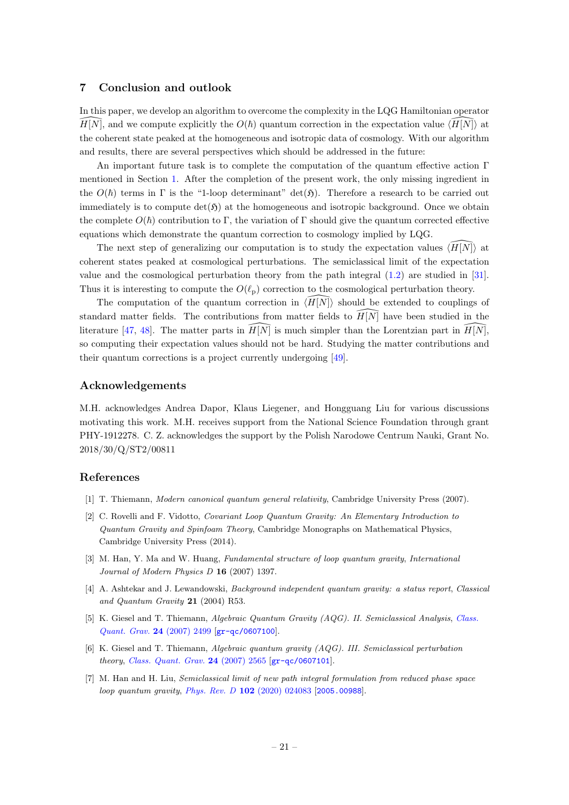# 7 Conclusion and outlook

In this paper, we develop an algorithm to overcome the complexity in the LQG Hamiltonian operator  $H[N]$ , and we compute explicitly the  $O(\hbar)$  quantum correction in the expectation value  $\langle H[N]\rangle$  at the coherent state peaked at the homogeneous and isotropic data of cosmology. With our algorithm and results, there are several perspectives which should be addressed in the future:

An important future task is to complete the computation of the quantum effective action Γ mentioned in Section [1.](#page-1-0) After the completion of the present work, the only missing ingredient in the  $O(\hbar)$  terms in Γ is the "1-loop determinant" det(5). Therefore a research to be carried out immediately is to compute  $\det(\mathfrak{H})$  at the homogeneous and isotropic background. Once we obtain the complete  $O(\hbar)$  contribution to Γ, the variation of Γ should give the quantum corrected effective equations which demonstrate the quantum correction to cosmology implied by LQG.

The next step of generalizing our computation is to study the expectation values  $\langle \overline{H}|\overline{N}\rangle$  at coherent states peaked at cosmological perturbations. The semiclassical limit of the expectation value and the cosmological perturbation theory from the path integral [\(1.2\)](#page-2-1) are studied in [\[31\]](#page-23-1). Thus it is interesting to compute the  $O(\ell_p)$  correction to the cosmological perturbation theory.

The computation of the quantum correction in  $\langle H|N\rangle$  should be extended to couplings of standard matter fields. The contributions from matter fields to  $\widehat{H}|\widehat{N}|$  have been studied in the literature [\[47,](#page-23-16) [48\]](#page-23-17). The matter parts in  $H[N]$  is much simpler than the Lorentzian part in  $H[N]$ , so computing their expectation values should not be hard. Studying the matter contributions and their quantum corrections is a project currently undergoing [\[49\]](#page-23-18).

#### Acknowledgements

M.H. acknowledges Andrea Dapor, Klaus Liegener, and Hongguang Liu for various discussions motivating this work. M.H. receives support from the National Science Foundation through grant PHY-1912278. C. Z. acknowledges the support by the Polish Narodowe Centrum Nauki, Grant No. 2018/30/Q/ST2/00811

# References

- <span id="page-21-0"></span>[1] T. Thiemann, Modern canonical quantum general relativity, Cambridge University Press (2007).
- [2] C. Rovelli and F. Vidotto, Covariant Loop Quantum Gravity: An Elementary Introduction to Quantum Gravity and Spinfoam Theory, Cambridge Monographs on Mathematical Physics, Cambridge University Press (2014).
- [3] M. Han, Y. Ma and W. Huang, Fundamental structure of loop quantum gravity, International Journal of Modern Physics D 16 (2007) 1397.
- <span id="page-21-1"></span>[4] A. Ashtekar and J. Lewandowski, Background independent quantum gravity: a status report, Classical and Quantum Gravity 21 (2004) R53.
- <span id="page-21-2"></span>[5] K. Giesel and T. Thiemann, Algebraic Quantum Gravity (AQG). II. Semiclassical Analysis, [Class.](https://doi.org/10.1088/0264-9381/24/10/004) [Quant. Grav.](https://doi.org/10.1088/0264-9381/24/10/004) 24 (2007) 2499 [[gr-qc/0607100](https://arxiv.org/abs/gr-qc/0607100)].
- <span id="page-21-3"></span>[6] K. Giesel and T. Thiemann, Algebraic quantum gravity (AQG). III. Semiclassical perturbation theory, [Class. Quant. Grav.](https://doi.org/10.1088/0264-9381/24/10/005) 24 (2007) 2565 [[gr-qc/0607101](https://arxiv.org/abs/gr-qc/0607101)].
- <span id="page-21-4"></span>[7] M. Han and H. Liu, Semiclassical limit of new path integral formulation from reduced phase space loop quantum gravity, Phys. Rev. D 102 [\(2020\) 024083](https://doi.org/10.1103/PhysRevD.102.024083) [[2005.00988](https://arxiv.org/abs/2005.00988)].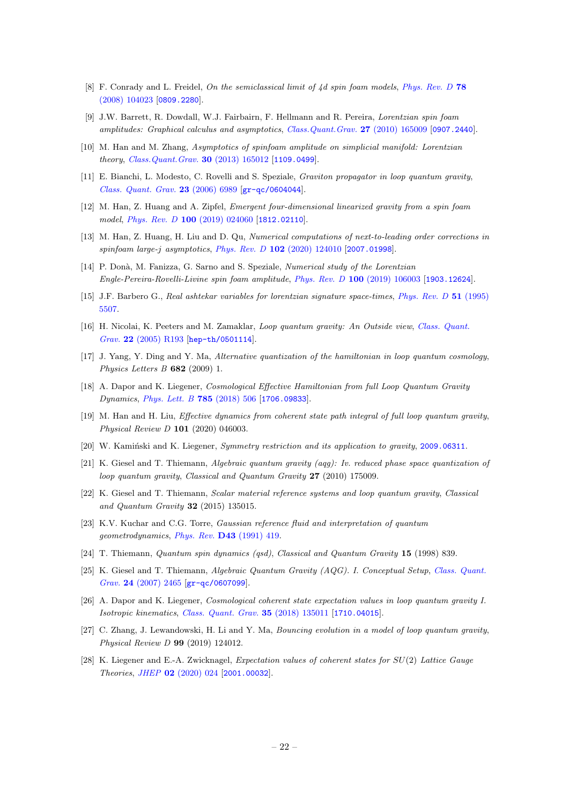- [8] F. Conrady and L. Freidel, On the semiclassical limit of 4d spin foam models, [Phys. Rev. D](https://doi.org/10.1103/PhysRevD.78.104023) 78 [\(2008\) 104023](https://doi.org/10.1103/PhysRevD.78.104023) [[0809.2280](https://arxiv.org/abs/0809.2280)].
- [9] J.W. Barrett, R. Dowdall, W.J. Fairbairn, F. Hellmann and R. Pereira, Lorentzian spin foam amplitudes: Graphical calculus and asymptotics, [Class.Quant.Grav.](https://doi.org/10.1088/0264-9381/27/16/165009) 27 (2010) 165009 [[0907.2440](https://arxiv.org/abs/0907.2440)].
- [10] M. Han and M. Zhang, Asymptotics of spinfoam amplitude on simplicial manifold: Lorentzian theory, [Class.Quant.Grav.](https://doi.org/10.1088/0264-9381/30/16/165012) 30 (2013) 165012 [[1109.0499](https://arxiv.org/abs/1109.0499)].
- [11] E. Bianchi, L. Modesto, C. Rovelli and S. Speziale, Graviton propagator in loop quantum gravity, [Class. Quant. Grav.](https://doi.org/10.1088/0264-9381/23/23/024) 23 (2006) 6989 [[gr-qc/0604044](https://arxiv.org/abs/gr-qc/0604044)].
- <span id="page-22-0"></span>[12] M. Han, Z. Huang and A. Zipfel, Emergent four-dimensional linearized gravity from a spin foam model, Phys. Rev. D 100 [\(2019\) 024060](https://doi.org/10.1103/PhysRevD.100.024060) [[1812.02110](https://arxiv.org/abs/1812.02110)].
- <span id="page-22-1"></span>[13] M. Han, Z. Huang, H. Liu and D. Qu, Numerical computations of next-to-leading order corrections in spinfoam large-j asymptotics, Phys. Rev. D  $102$  [\(2020\) 124010](https://doi.org/10.1103/PhysRevD.102.124010) [[2007.01998](https://arxiv.org/abs/2007.01998)].
- <span id="page-22-2"></span>[14] P. Donà, M. Fanizza, G. Sarno and S. Speziale, Numerical study of the Lorentzian Engle-Pereira-Rovelli-Livine spin foam amplitude, Phys. Rev. D 100 [\(2019\) 106003](https://doi.org/10.1103/PhysRevD.100.106003) [[1903.12624](https://arxiv.org/abs/1903.12624)].
- <span id="page-22-3"></span>[15] J.F. Barbero G., Real ashtekar variables for lorentzian signature space-times, [Phys. Rev. D](https://doi.org/10.1103/PhysRevD.51.5507) 51 (1995) [5507.](https://doi.org/10.1103/PhysRevD.51.5507)
- <span id="page-22-4"></span>[16] H. Nicolai, K. Peeters and M. Zamaklar, Loop quantum gravity: An Outside view, [Class. Quant.](https://doi.org/10.1088/0264-9381/22/19/R01) Grav. 22 [\(2005\) R193](https://doi.org/10.1088/0264-9381/22/19/R01) [[hep-th/0501114](https://arxiv.org/abs/hep-th/0501114)].
- <span id="page-22-5"></span>[17] J. Yang, Y. Ding and Y. Ma, Alternative quantization of the hamiltonian in loop quantum cosmology, Physics Letters  $B$  682 (2009) 1.
- <span id="page-22-12"></span>[18] A. Dapor and K. Liegener, Cosmological Effective Hamiltonian from full Loop Quantum Gravity Dynamics, [Phys. Lett. B](https://doi.org/10.1016/j.physletb.2018.09.005) 785 (2018) 506 [[1706.09833](https://arxiv.org/abs/1706.09833)].
- <span id="page-22-14"></span>[19] M. Han and H. Liu, Effective dynamics from coherent state path integral of full loop quantum gravity, Physical Review D 101 (2020) 046003.
- <span id="page-22-6"></span>[20] W. Kaminski and K. Liegener, Symmetry restriction and its application to gravity, [2009.06311](https://arxiv.org/abs/2009.06311).
- <span id="page-22-7"></span>[21] K. Giesel and T. Thiemann, Algebraic quantum gravity (aqg): Iv. reduced phase space quantization of loop quantum gravity, Classical and Quantum Gravity 27 (2010) 175009.
- <span id="page-22-8"></span>[22] K. Giesel and T. Thiemann, Scalar material reference systems and loop quantum gravity, Classical and Quantum Gravity 32 (2015) 135015.
- <span id="page-22-9"></span>[23] K.V. Kuchar and C.G. Torre, Gaussian reference fluid and interpretation of quantum geometrodynamics, Phys. Rev. D43 [\(1991\) 419.](https://doi.org/10.1103/PhysRevD.43.419)
- <span id="page-22-10"></span>[24] T. Thiemann, Quantum spin dynamics (qsd), Classical and Quantum Gravity 15 (1998) 839.
- <span id="page-22-11"></span>[25] K. Giesel and T. Thiemann, Algebraic Quantum Gravity (AQG). I. Conceptual Setup, [Class. Quant.](https://doi.org/10.1088/0264-9381/24/10/003) Grav. 24 [\(2007\) 2465](https://doi.org/10.1088/0264-9381/24/10/003) [[gr-qc/0607099](https://arxiv.org/abs/gr-qc/0607099)].
- <span id="page-22-13"></span>[26] A. Dapor and K. Liegener, Cosmological coherent state expectation values in loop quantum gravity I. Isotropic kinematics, [Class. Quant. Grav.](https://doi.org/10.1088/1361-6382/aac4ba) 35 (2018) 135011 [[1710.04015](https://arxiv.org/abs/1710.04015)].
- [27] C. Zhang, J. Lewandowski, H. Li and Y. Ma, Bouncing evolution in a model of loop quantum gravity, Physical Review D 99 (2019) 124012.
- <span id="page-22-15"></span>[28] K. Liegener and E.-A. Zwicknagel, Expectation values of coherent states for SU(2) Lattice Gauge Theories, JHEP 02 [\(2020\) 024](https://doi.org/10.1007/JHEP02(2020)024) [[2001.00032](https://arxiv.org/abs/2001.00032)].